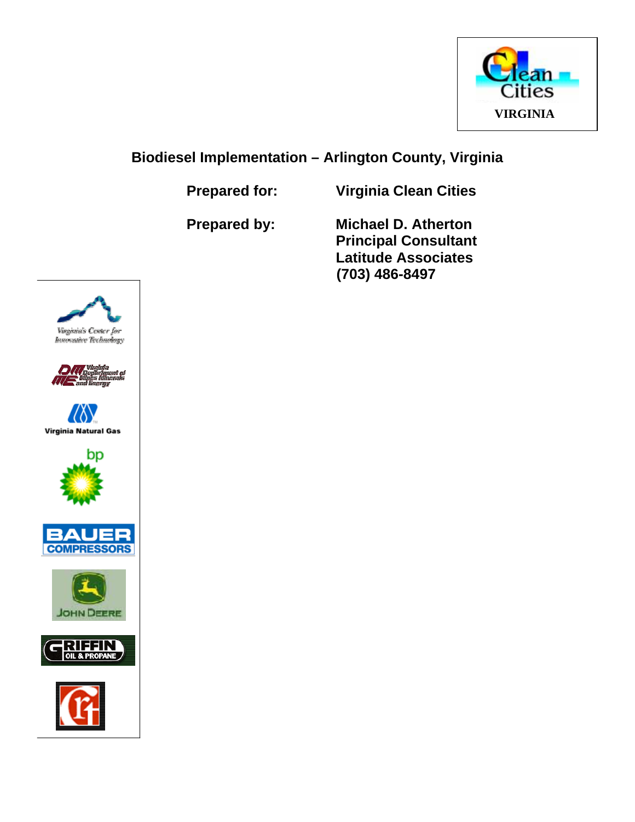

# **Biodiesel Implementation – Arlington County, Virginia**

**Prepared for: Virginia Clean Cities** 

 **Prepared by: Michael D. Atherton Principal Consultant Latitude Associates (703) 486-8497** 















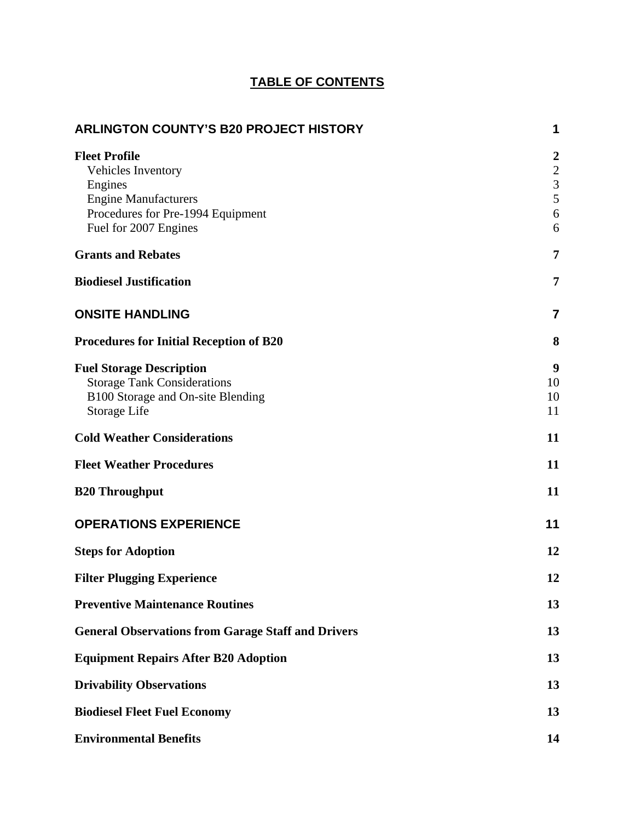## **TABLE OF CONTENTS**

| <b>ARLINGTON COUNTY'S B20 PROJECT HISTORY</b>                                                                                                      | 1                                                                                  |
|----------------------------------------------------------------------------------------------------------------------------------------------------|------------------------------------------------------------------------------------|
| <b>Fleet Profile</b><br>Vehicles Inventory<br>Engines<br><b>Engine Manufacturers</b><br>Procedures for Pre-1994 Equipment<br>Fuel for 2007 Engines | $\boldsymbol{2}$<br>$\boldsymbol{2}$<br>$\overline{3}$<br>$\overline{5}$<br>6<br>6 |
| <b>Grants and Rebates</b>                                                                                                                          | 7                                                                                  |
| <b>Biodiesel Justification</b>                                                                                                                     | 7                                                                                  |
| <b>ONSITE HANDLING</b>                                                                                                                             | $\overline{7}$                                                                     |
| <b>Procedures for Initial Reception of B20</b>                                                                                                     | 8                                                                                  |
| <b>Fuel Storage Description</b><br><b>Storage Tank Considerations</b><br>B100 Storage and On-site Blending<br>Storage Life                         | 9<br>10<br>10<br>11                                                                |
| <b>Cold Weather Considerations</b>                                                                                                                 | 11                                                                                 |
| <b>Fleet Weather Procedures</b>                                                                                                                    | 11                                                                                 |
| <b>B20 Throughput</b>                                                                                                                              | 11                                                                                 |
| <b>OPERATIONS EXPERIENCE</b>                                                                                                                       | 11                                                                                 |
| <b>Steps for Adoption</b>                                                                                                                          | 12                                                                                 |
| <b>Filter Plugging Experience</b>                                                                                                                  | 12                                                                                 |
| <b>Preventive Maintenance Routines</b>                                                                                                             | 13                                                                                 |
| <b>General Observations from Garage Staff and Drivers</b>                                                                                          | 13                                                                                 |
| <b>Equipment Repairs After B20 Adoption</b>                                                                                                        | 13                                                                                 |
| <b>Drivability Observations</b>                                                                                                                    | 13                                                                                 |
| <b>Biodiesel Fleet Fuel Economy</b>                                                                                                                | 13                                                                                 |
| <b>Environmental Benefits</b>                                                                                                                      | 14                                                                                 |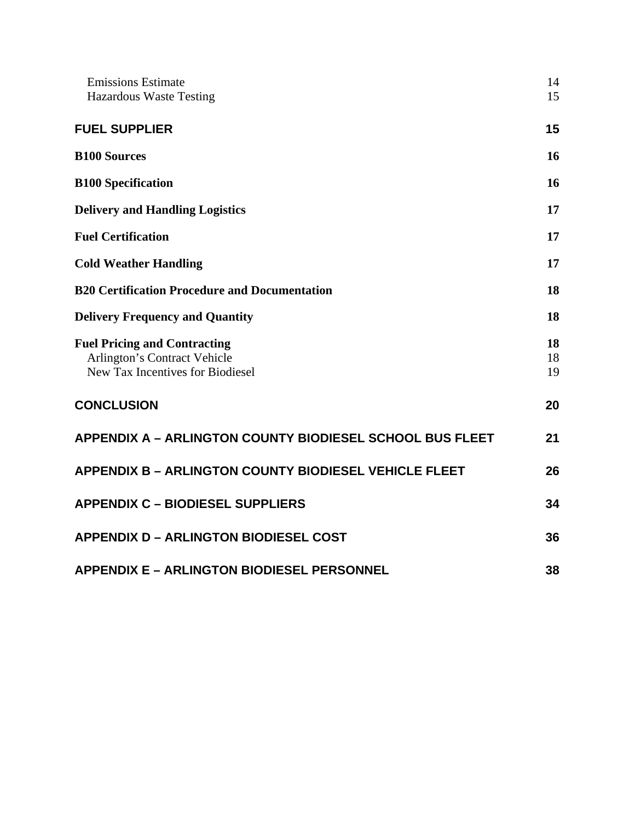| <b>Emissions Estimate</b><br><b>Hazardous Waste Testing</b>                                             | 14<br>15       |
|---------------------------------------------------------------------------------------------------------|----------------|
| <b>FUEL SUPPLIER</b>                                                                                    | 15             |
| <b>B100 Sources</b>                                                                                     | 16             |
| <b>B100 Specification</b>                                                                               | 16             |
| <b>Delivery and Handling Logistics</b>                                                                  | 17             |
| <b>Fuel Certification</b>                                                                               | 17             |
| <b>Cold Weather Handling</b>                                                                            | 17             |
| <b>B20 Certification Procedure and Documentation</b>                                                    | 18             |
| <b>Delivery Frequency and Quantity</b>                                                                  | 18             |
| <b>Fuel Pricing and Contracting</b><br>Arlington's Contract Vehicle<br>New Tax Incentives for Biodiesel | 18<br>18<br>19 |
| <b>CONCLUSION</b>                                                                                       | 20             |
| <b>APPENDIX A - ARLINGTON COUNTY BIODIESEL SCHOOL BUS FLEET</b>                                         | 21             |
| <b>APPENDIX B - ARLINGTON COUNTY BIODIESEL VEHICLE FLEET</b>                                            | 26             |
| <b>APPENDIX C - BIODIESEL SUPPLIERS</b>                                                                 | 34             |
| <b>APPENDIX D - ARLINGTON BIODIESEL COST</b>                                                            | 36             |
| <b>APPENDIX E - ARLINGTON BIODIESEL PERSONNEL</b>                                                       | 38             |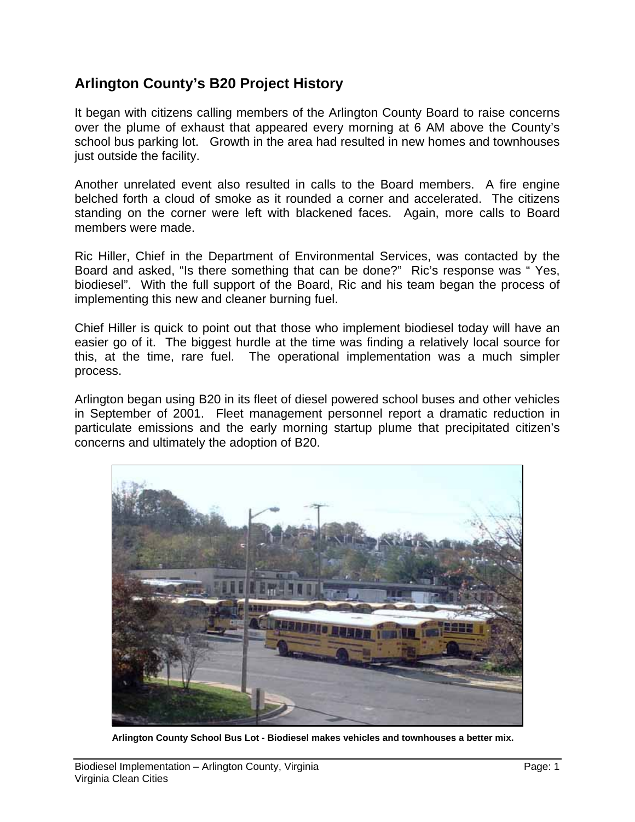## **Arlington County's B20 Project History**

It began with citizens calling members of the Arlington County Board to raise concerns over the plume of exhaust that appeared every morning at 6 AM above the County's school bus parking lot. Growth in the area had resulted in new homes and townhouses just outside the facility.

Another unrelated event also resulted in calls to the Board members. A fire engine belched forth a cloud of smoke as it rounded a corner and accelerated. The citizens standing on the corner were left with blackened faces. Again, more calls to Board members were made.

Ric Hiller, Chief in the Department of Environmental Services, was contacted by the Board and asked, "Is there something that can be done?" Ric's response was " Yes, biodiesel". With the full support of the Board, Ric and his team began the process of implementing this new and cleaner burning fuel.

Chief Hiller is quick to point out that those who implement biodiesel today will have an easier go of it. The biggest hurdle at the time was finding a relatively local source for this, at the time, rare fuel. The operational implementation was a much simpler process.

Arlington began using B20 in its fleet of diesel powered school buses and other vehicles in September of 2001. Fleet management personnel report a dramatic reduction in particulate emissions and the early morning startup plume that precipitated citizen's concerns and ultimately the adoption of B20.



**Arlington County School Bus Lot - Biodiesel makes vehicles and townhouses a better mix.**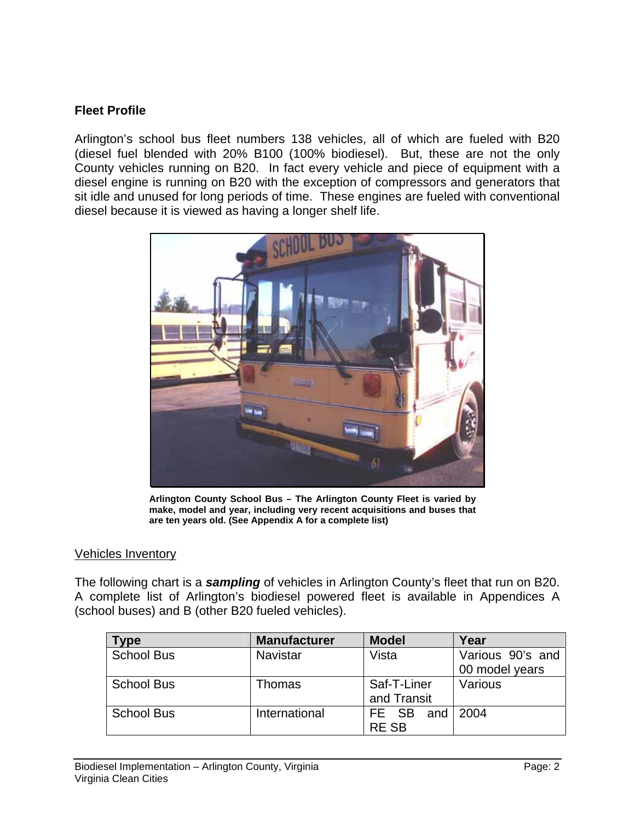## **Fleet Profile**

Arlington's school bus fleet numbers 138 vehicles, all of which are fueled with B20 (diesel fuel blended with 20% B100 (100% biodiesel). But, these are not the only County vehicles running on B20. In fact every vehicle and piece of equipment with a diesel engine is running on B20 with the exception of compressors and generators that sit idle and unused for long periods of time. These engines are fueled with conventional diesel because it is viewed as having a longer shelf life.



**Arlington County School Bus – The Arlington County Fleet is varied by make, model and year, including very recent acquisitions and buses that are ten years old. (See Appendix A for a complete list)** 

#### Vehicles Inventory

The following chart is a *sampling* of vehicles in Arlington County's fleet that run on B20. A complete list of Arlington's biodiesel powered fleet is available in Appendices A (school buses) and B (other B20 fueled vehicles).

| <b>Type</b>       | <b>Manufacturer</b> | <b>Model</b> | Year             |
|-------------------|---------------------|--------------|------------------|
| <b>School Bus</b> | <b>Navistar</b>     | Vista        | Various 90's and |
|                   |                     |              | 00 model years   |
| <b>School Bus</b> | <b>Thomas</b>       | Saf-T-Liner  | Various          |
|                   |                     | and Transit  |                  |
| <b>School Bus</b> | International       | FE SB        | and   2004       |
|                   |                     | <b>RESB</b>  |                  |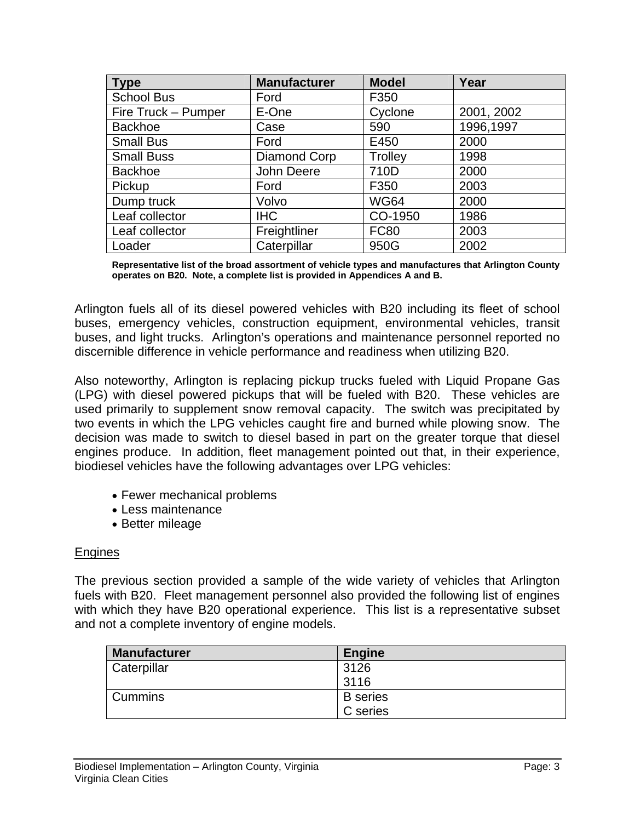| <b>Type</b>         | <b>Manufacturer</b> | <b>Model</b>   | Year       |
|---------------------|---------------------|----------------|------------|
| <b>School Bus</b>   | Ford                | F350           |            |
| Fire Truck - Pumper | E-One               | Cyclone        | 2001, 2002 |
| <b>Backhoe</b>      | Case                | 590            | 1996,1997  |
| <b>Small Bus</b>    | Ford                | E450           | 2000       |
| <b>Small Buss</b>   | Diamond Corp        | <b>Trolley</b> | 1998       |
| <b>Backhoe</b>      | John Deere          | 710D           | 2000       |
| Pickup              | Ford                | F350           | 2003       |
| Dump truck          | Volvo               | <b>WG64</b>    | 2000       |
| Leaf collector      | <b>IHC</b>          | CO-1950        | 1986       |
| Leaf collector      | Freightliner        | <b>FC80</b>    | 2003       |
| Loader              | Caterpillar         | 950G           | 2002       |

**Representative list of the broad assortment of vehicle types and manufactures that Arlington County operates on B20. Note, a complete list is provided in Appendices A and B.** 

Arlington fuels all of its diesel powered vehicles with B20 including its fleet of school buses, emergency vehicles, construction equipment, environmental vehicles, transit buses, and light trucks. Arlington's operations and maintenance personnel reported no discernible difference in vehicle performance and readiness when utilizing B20.

Also noteworthy, Arlington is replacing pickup trucks fueled with Liquid Propane Gas (LPG) with diesel powered pickups that will be fueled with B20. These vehicles are used primarily to supplement snow removal capacity. The switch was precipitated by two events in which the LPG vehicles caught fire and burned while plowing snow. The decision was made to switch to diesel based in part on the greater torque that diesel engines produce. In addition, fleet management pointed out that, in their experience, biodiesel vehicles have the following advantages over LPG vehicles:

- Fewer mechanical problems
- Less maintenance
- Better mileage

#### Engines

The previous section provided a sample of the wide variety of vehicles that Arlington fuels with B20. Fleet management personnel also provided the following list of engines with which they have B20 operational experience. This list is a representative subset and not a complete inventory of engine models.

| <b>Manufacturer</b> | <b>Engine</b>   |
|---------------------|-----------------|
| Caterpillar         | 3126            |
|                     | 3116            |
| <b>Cummins</b>      | <b>B</b> series |
|                     | C series        |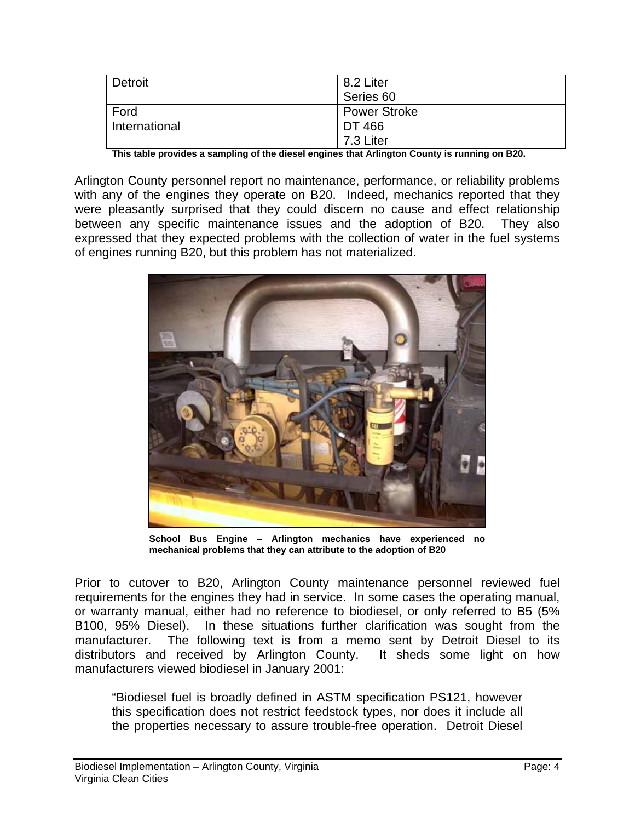| Detroit       | 8.2 Liter           |  |
|---------------|---------------------|--|
|               | Series 60           |  |
| Ford          | <b>Power Stroke</b> |  |
| International | DT 466              |  |
|               | 7.3 Liter           |  |

**This table provides a sampling of the diesel engines that Arlington County is running on B20.** 

Arlington County personnel report no maintenance, performance, or reliability problems with any of the engines they operate on B20. Indeed, mechanics reported that they were pleasantly surprised that they could discern no cause and effect relationship between any specific maintenance issues and the adoption of B20. They also expressed that they expected problems with the collection of water in the fuel systems of engines running B20, but this problem has not materialized.



**School Bus Engine – Arlington mechanics have experienced no mechanical problems that they can attribute to the adoption of B20** 

Prior to cutover to B20, Arlington County maintenance personnel reviewed fuel requirements for the engines they had in service. In some cases the operating manual, or warranty manual, either had no reference to biodiesel, or only referred to B5 (5% B100, 95% Diesel). In these situations further clarification was sought from the manufacturer. The following text is from a memo sent by Detroit Diesel to its distributors and received by Arlington County. It sheds some light on how manufacturers viewed biodiesel in January 2001:

"Biodiesel fuel is broadly defined in ASTM specification PS121, however this specification does not restrict feedstock types, nor does it include all the properties necessary to assure trouble-free operation. Detroit Diesel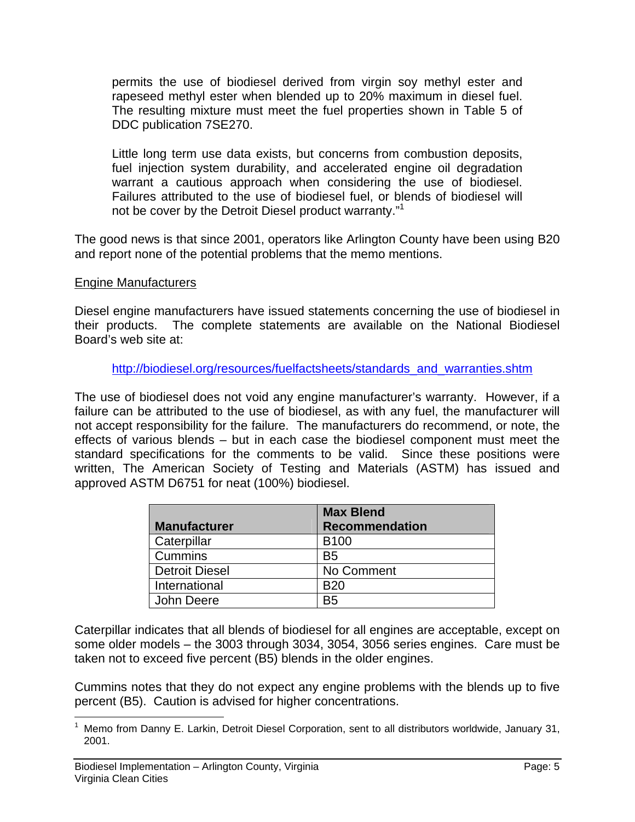permits the use of biodiesel derived from virgin soy methyl ester and rapeseed methyl ester when blended up to 20% maximum in diesel fuel. The resulting mixture must meet the fuel properties shown in Table 5 of DDC publication 7SE270.

Little long term use data exists, but concerns from combustion deposits, fuel injection system durability, and accelerated engine oil degradation warrant a cautious approach when considering the use of biodiesel. Failures attributed to the use of biodiesel fuel, or blends of biodiesel will not be cover by the Detroit Diesel product warranty."<sup>1</sup>

The good news is that since 2001, operators like Arlington County have been using B20 and report none of the potential problems that the memo mentions.

#### Engine Manufacturers

Diesel engine manufacturers have issued statements concerning the use of biodiesel in their products. The complete statements are available on the National Biodiesel Board's web site at:

http://biodiesel.org/resources/fuelfactsheets/standards\_and\_warranties.shtm

The use of biodiesel does not void any engine manufacturer's warranty. However, if a failure can be attributed to the use of biodiesel, as with any fuel, the manufacturer will not accept responsibility for the failure. The manufacturers do recommend, or note, the effects of various blends – but in each case the biodiesel component must meet the standard specifications for the comments to be valid. Since these positions were written, The American Society of Testing and Materials (ASTM) has issued and approved ASTM D6751 for neat (100%) biodiesel.

|                       | <b>Max Blend</b>      |
|-----------------------|-----------------------|
| <b>Manufacturer</b>   | <b>Recommendation</b> |
| Caterpillar           | <b>B100</b>           |
| <b>Cummins</b>        | B <sub>5</sub>        |
| <b>Detroit Diesel</b> | No Comment            |
| International         | B <sub>20</sub>       |
| John Deere            | B5                    |

Caterpillar indicates that all blends of biodiesel for all engines are acceptable, except on some older models – the 3003 through 3034, 3054, 3056 series engines. Care must be taken not to exceed five percent (B5) blends in the older engines.

Cummins notes that they do not expect any engine problems with the blends up to five percent (B5). Caution is advised for higher concentrations.

 $\overline{a}$ 

<sup>1</sup> Memo from Danny E. Larkin, Detroit Diesel Corporation, sent to all distributors worldwide, January 31, 2001.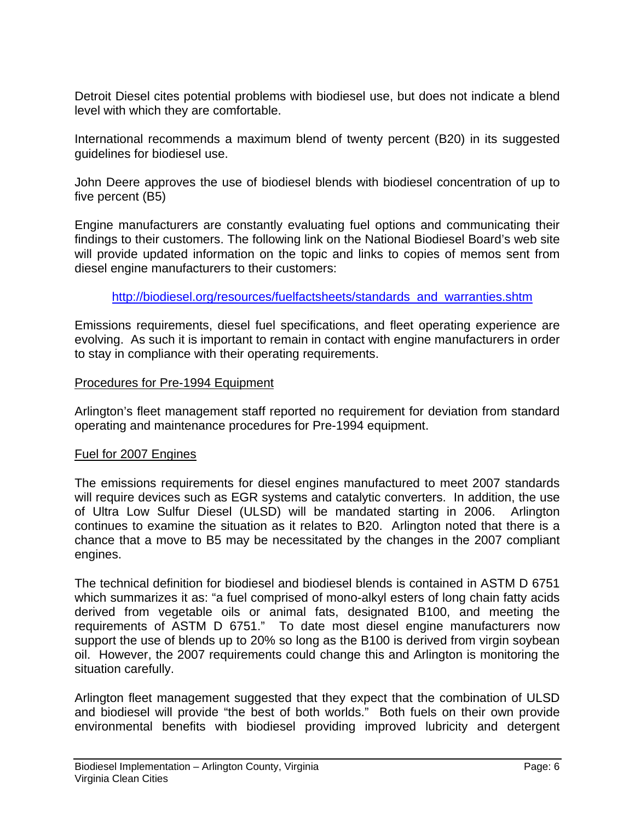Detroit Diesel cites potential problems with biodiesel use, but does not indicate a blend level with which they are comfortable.

International recommends a maximum blend of twenty percent (B20) in its suggested guidelines for biodiesel use.

John Deere approves the use of biodiesel blends with biodiesel concentration of up to five percent (B5)

Engine manufacturers are constantly evaluating fuel options and communicating their findings to their customers. The following link on the National Biodiesel Board's web site will provide updated information on the topic and links to copies of memos sent from diesel engine manufacturers to their customers:

http://biodiesel.org/resources/fuelfactsheets/standards\_and\_warranties.shtm

Emissions requirements, diesel fuel specifications, and fleet operating experience are evolving. As such it is important to remain in contact with engine manufacturers in order to stay in compliance with their operating requirements.

#### Procedures for Pre-1994 Equipment

Arlington's fleet management staff reported no requirement for deviation from standard operating and maintenance procedures for Pre-1994 equipment.

#### Fuel for 2007 Engines

The emissions requirements for diesel engines manufactured to meet 2007 standards will require devices such as EGR systems and catalytic converters. In addition, the use of Ultra Low Sulfur Diesel (ULSD) will be mandated starting in 2006. Arlington continues to examine the situation as it relates to B20. Arlington noted that there is a chance that a move to B5 may be necessitated by the changes in the 2007 compliant engines.

The technical definition for biodiesel and biodiesel blends is contained in ASTM D 6751 which summarizes it as: "a fuel comprised of mono-alkyl esters of long chain fatty acids derived from vegetable oils or animal fats, designated B100, and meeting the requirements of ASTM D 6751." To date most diesel engine manufacturers now support the use of blends up to 20% so long as the B100 is derived from virgin soybean oil. However, the 2007 requirements could change this and Arlington is monitoring the situation carefully.

Arlington fleet management suggested that they expect that the combination of ULSD and biodiesel will provide "the best of both worlds." Both fuels on their own provide environmental benefits with biodiesel providing improved lubricity and detergent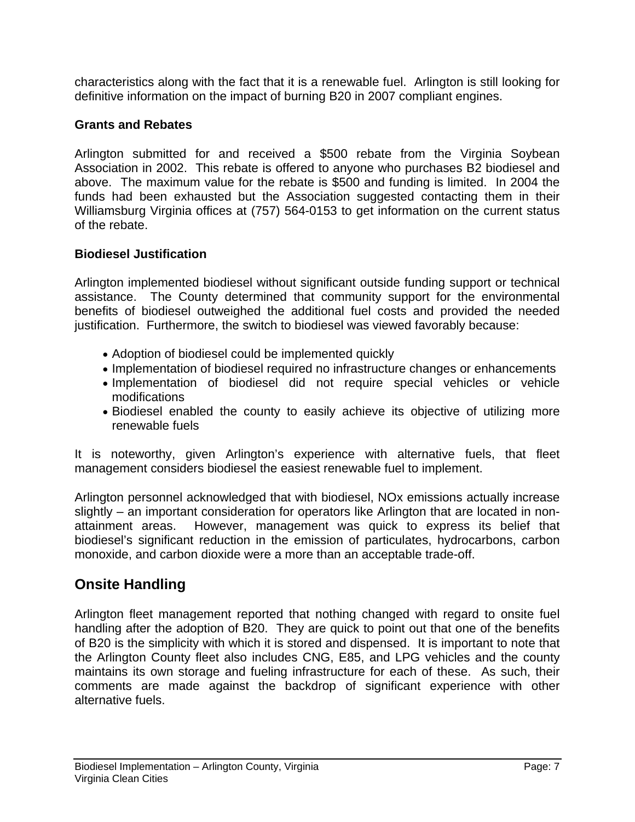characteristics along with the fact that it is a renewable fuel. Arlington is still looking for definitive information on the impact of burning B20 in 2007 compliant engines.

## **Grants and Rebates**

Arlington submitted for and received a \$500 rebate from the Virginia Soybean Association in 2002. This rebate is offered to anyone who purchases B2 biodiesel and above. The maximum value for the rebate is \$500 and funding is limited. In 2004 the funds had been exhausted but the Association suggested contacting them in their Williamsburg Virginia offices at (757) 564-0153 to get information on the current status of the rebate.

## **Biodiesel Justification**

Arlington implemented biodiesel without significant outside funding support or technical assistance. The County determined that community support for the environmental benefits of biodiesel outweighed the additional fuel costs and provided the needed justification. Furthermore, the switch to biodiesel was viewed favorably because:

- Adoption of biodiesel could be implemented quickly
- Implementation of biodiesel required no infrastructure changes or enhancements
- Implementation of biodiesel did not require special vehicles or vehicle modifications
- Biodiesel enabled the county to easily achieve its objective of utilizing more renewable fuels

It is noteworthy, given Arlington's experience with alternative fuels, that fleet management considers biodiesel the easiest renewable fuel to implement.

Arlington personnel acknowledged that with biodiesel, NOx emissions actually increase slightly – an important consideration for operators like Arlington that are located in nonattainment areas. However, management was quick to express its belief that biodiesel's significant reduction in the emission of particulates, hydrocarbons, carbon monoxide, and carbon dioxide were a more than an acceptable trade-off.

## **Onsite Handling**

Arlington fleet management reported that nothing changed with regard to onsite fuel handling after the adoption of B20. They are quick to point out that one of the benefits of B20 is the simplicity with which it is stored and dispensed. It is important to note that the Arlington County fleet also includes CNG, E85, and LPG vehicles and the county maintains its own storage and fueling infrastructure for each of these. As such, their comments are made against the backdrop of significant experience with other alternative fuels.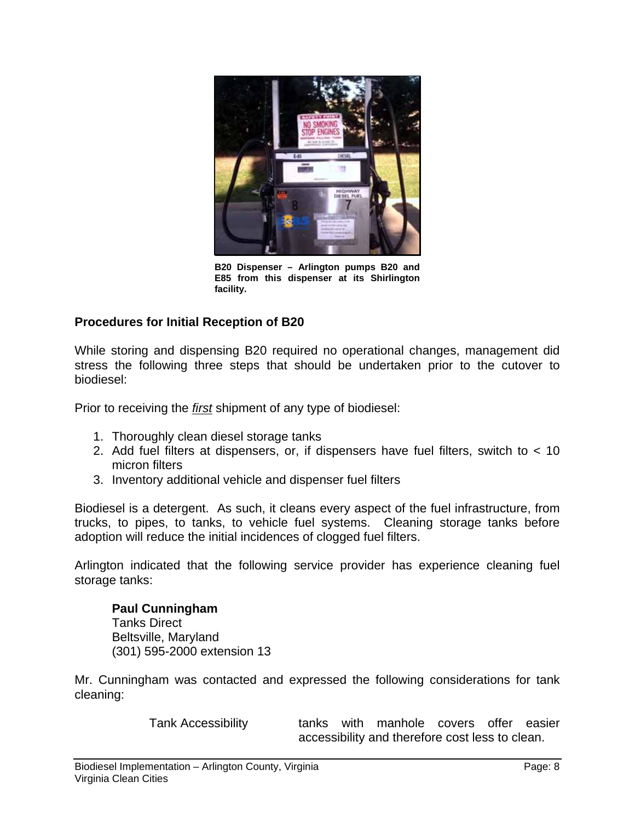

**B20 Dispenser – Arlington pumps B20 and E85 from this dispenser at its Shirlington facility.** 

## **Procedures for Initial Reception of B20**

While storing and dispensing B20 required no operational changes, management did stress the following three steps that should be undertaken prior to the cutover to biodiesel:

Prior to receiving the *first* shipment of any type of biodiesel:

- 1. Thoroughly clean diesel storage tanks
- 2. Add fuel filters at dispensers, or, if dispensers have fuel filters, switch to < 10 micron filters
- 3. Inventory additional vehicle and dispenser fuel filters

Biodiesel is a detergent. As such, it cleans every aspect of the fuel infrastructure, from trucks, to pipes, to tanks, to vehicle fuel systems. Cleaning storage tanks before adoption will reduce the initial incidences of clogged fuel filters.

Arlington indicated that the following service provider has experience cleaning fuel storage tanks:

**Paul Cunningham**  Tanks Direct Beltsville, Maryland (301) 595-2000 extension 13

Mr. Cunningham was contacted and expressed the following considerations for tank cleaning:

Tank Accessibility tanks with manhole covers offer easier accessibility and therefore cost less to clean.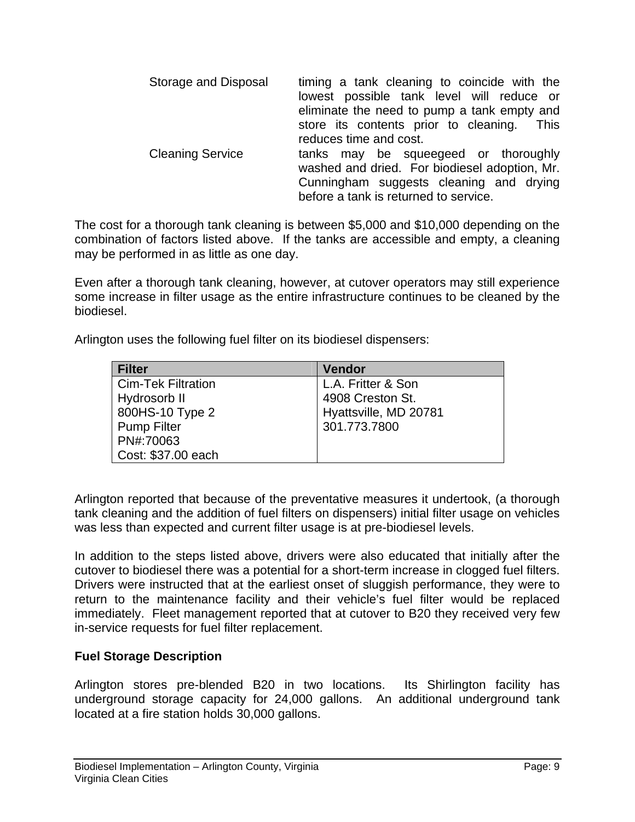| Storage and Disposal    | timing a tank cleaning to coincide with the<br>lowest possible tank level will reduce or<br>eliminate the need to pump a tank empty and<br>store its contents prior to cleaning. This<br>reduces time and cost. |
|-------------------------|-----------------------------------------------------------------------------------------------------------------------------------------------------------------------------------------------------------------|
| <b>Cleaning Service</b> | tanks may be squeegeed or thoroughly<br>washed and dried. For biodiesel adoption, Mr.<br>Cunningham suggests cleaning and drying<br>before a tank is returned to service.                                       |

The cost for a thorough tank cleaning is between \$5,000 and \$10,000 depending on the combination of factors listed above. If the tanks are accessible and empty, a cleaning may be performed in as little as one day.

Even after a thorough tank cleaning, however, at cutover operators may still experience some increase in filter usage as the entire infrastructure continues to be cleaned by the biodiesel.

Arlington uses the following fuel filter on its biodiesel dispensers:

| <b>Filter</b>             | <b>Vendor</b>         |
|---------------------------|-----------------------|
| <b>Cim-Tek Filtration</b> | L.A. Fritter & Son    |
| Hydrosorb II              | 4908 Creston St.      |
| 800HS-10 Type 2           | Hyattsville, MD 20781 |
| <b>Pump Filter</b>        | 301.773.7800          |
| PN#:70063                 |                       |
| Cost: \$37.00 each        |                       |

Arlington reported that because of the preventative measures it undertook, (a thorough tank cleaning and the addition of fuel filters on dispensers) initial filter usage on vehicles was less than expected and current filter usage is at pre-biodiesel levels.

In addition to the steps listed above, drivers were also educated that initially after the cutover to biodiesel there was a potential for a short-term increase in clogged fuel filters. Drivers were instructed that at the earliest onset of sluggish performance, they were to return to the maintenance facility and their vehicle's fuel filter would be replaced immediately. Fleet management reported that at cutover to B20 they received very few in-service requests for fuel filter replacement.

## **Fuel Storage Description**

Arlington stores pre-blended B20 in two locations. Its Shirlington facility has underground storage capacity for 24,000 gallons. An additional underground tank located at a fire station holds 30,000 gallons.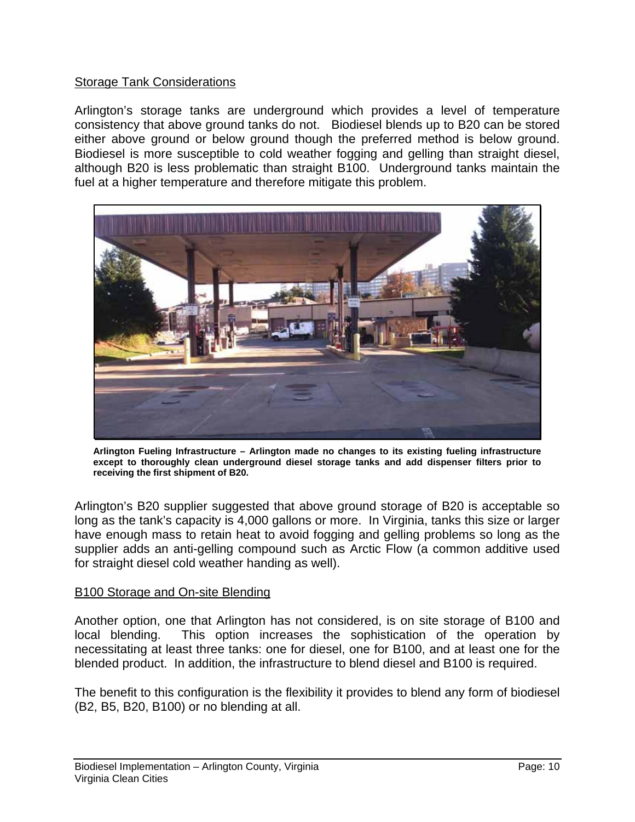## Storage Tank Considerations

Arlington's storage tanks are underground which provides a level of temperature consistency that above ground tanks do not. Biodiesel blends up to B20 can be stored either above ground or below ground though the preferred method is below ground. Biodiesel is more susceptible to cold weather fogging and gelling than straight diesel, although B20 is less problematic than straight B100. Underground tanks maintain the fuel at a higher temperature and therefore mitigate this problem.



**Arlington Fueling Infrastructure – Arlington made no changes to its existing fueling infrastructure except to thoroughly clean underground diesel storage tanks and add dispenser filters prior to receiving the first shipment of B20.** 

Arlington's B20 supplier suggested that above ground storage of B20 is acceptable so long as the tank's capacity is 4,000 gallons or more. In Virginia, tanks this size or larger have enough mass to retain heat to avoid fogging and gelling problems so long as the supplier adds an anti-gelling compound such as Arctic Flow (a common additive used for straight diesel cold weather handing as well).

#### B100 Storage and On-site Blending

Another option, one that Arlington has not considered, is on site storage of B100 and local blending. This option increases the sophistication of the operation by necessitating at least three tanks: one for diesel, one for B100, and at least one for the blended product. In addition, the infrastructure to blend diesel and B100 is required.

The benefit to this configuration is the flexibility it provides to blend any form of biodiesel (B2, B5, B20, B100) or no blending at all.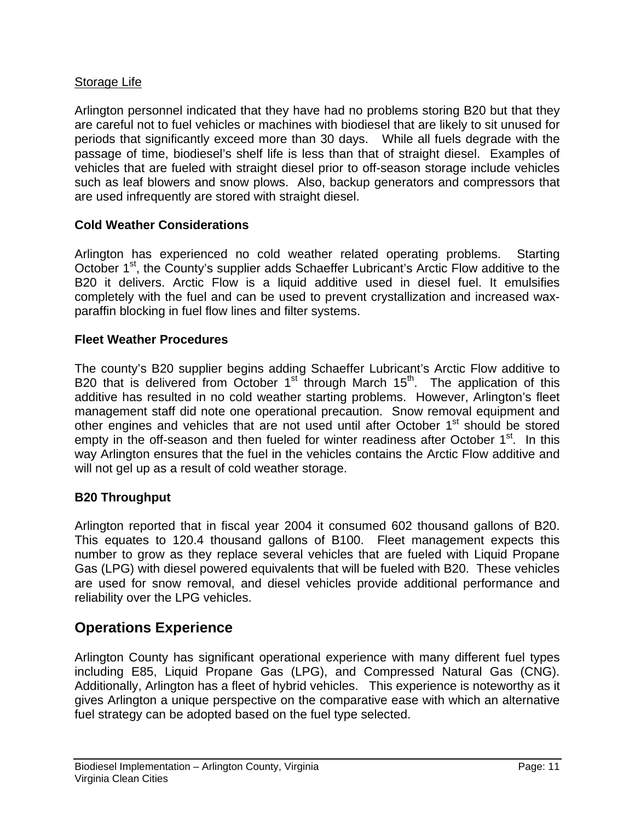## Storage Life

Arlington personnel indicated that they have had no problems storing B20 but that they are careful not to fuel vehicles or machines with biodiesel that are likely to sit unused for periods that significantly exceed more than 30 days. While all fuels degrade with the passage of time, biodiesel's shelf life is less than that of straight diesel. Examples of vehicles that are fueled with straight diesel prior to off-season storage include vehicles such as leaf blowers and snow plows. Also, backup generators and compressors that are used infrequently are stored with straight diesel.

## **Cold Weather Considerations**

Arlington has experienced no cold weather related operating problems. Starting October 1<sup>st</sup>, the County's supplier adds Schaeffer Lubricant's Arctic Flow additive to the B20 it delivers. Arctic Flow is a liquid additive used in diesel fuel. It emulsifies completely with the fuel and can be used to prevent crystallization and increased waxparaffin blocking in fuel flow lines and filter systems.

#### **Fleet Weather Procedures**

The county's B20 supplier begins adding Schaeffer Lubricant's Arctic Flow additive to B20 that is delivered from October  $1<sup>st</sup>$  through March  $15<sup>th</sup>$ . The application of this additive has resulted in no cold weather starting problems. However, Arlington's fleet management staff did note one operational precaution. Snow removal equipment and other engines and vehicles that are not used until after October 1<sup>st</sup> should be stored empty in the off-season and then fueled for winter readiness after October  $1<sup>st</sup>$ . In this way Arlington ensures that the fuel in the vehicles contains the Arctic Flow additive and will not gel up as a result of cold weather storage.

## **B20 Throughput**

Arlington reported that in fiscal year 2004 it consumed 602 thousand gallons of B20. This equates to 120.4 thousand gallons of B100. Fleet management expects this number to grow as they replace several vehicles that are fueled with Liquid Propane Gas (LPG) with diesel powered equivalents that will be fueled with B20. These vehicles are used for snow removal, and diesel vehicles provide additional performance and reliability over the LPG vehicles.

## **Operations Experience**

Arlington County has significant operational experience with many different fuel types including E85, Liquid Propane Gas (LPG), and Compressed Natural Gas (CNG). Additionally, Arlington has a fleet of hybrid vehicles. This experience is noteworthy as it gives Arlington a unique perspective on the comparative ease with which an alternative fuel strategy can be adopted based on the fuel type selected.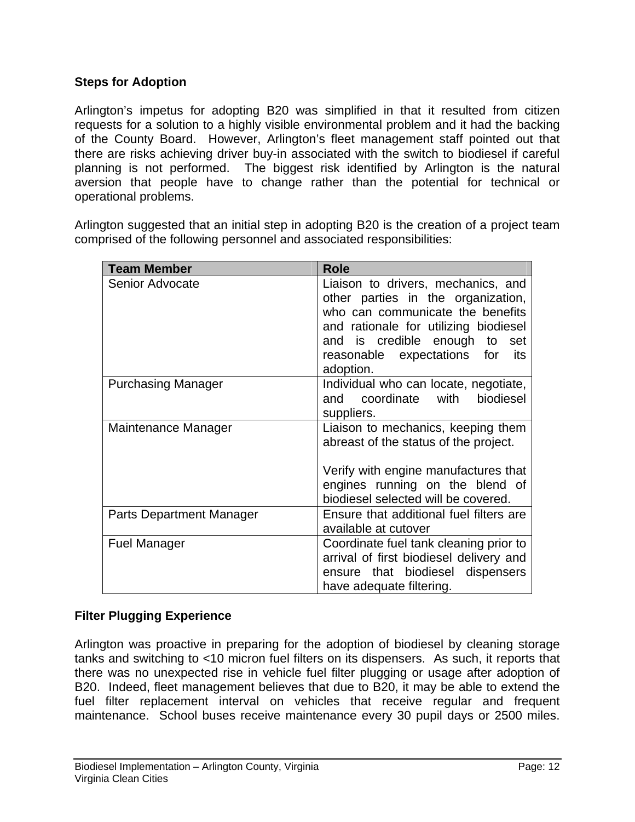#### **Steps for Adoption**

Arlington's impetus for adopting B20 was simplified in that it resulted from citizen requests for a solution to a highly visible environmental problem and it had the backing of the County Board. However, Arlington's fleet management staff pointed out that there are risks achieving driver buy-in associated with the switch to biodiesel if careful planning is not performed. The biggest risk identified by Arlington is the natural aversion that people have to change rather than the potential for technical or operational problems.

Arlington suggested that an initial step in adopting B20 is the creation of a project team comprised of the following personnel and associated responsibilities:

| <b>Team Member</b>              | <b>Role</b>                                                                                                                                                                                                                                  |
|---------------------------------|----------------------------------------------------------------------------------------------------------------------------------------------------------------------------------------------------------------------------------------------|
| Senior Advocate                 | Liaison to drivers, mechanics, and<br>other parties in the organization,<br>who can communicate the benefits<br>and rationale for utilizing biodiesel<br>and is credible enough to<br>set<br>reasonable expectations for<br>its<br>adoption. |
| <b>Purchasing Manager</b>       | Individual who can locate, negotiate,<br>coordinate<br>with<br>biodiesel<br>and<br>suppliers.                                                                                                                                                |
| Maintenance Manager             | Liaison to mechanics, keeping them<br>abreast of the status of the project.<br>Verify with engine manufactures that<br>engines running on the blend of<br>biodiesel selected will be covered.                                                |
| <b>Parts Department Manager</b> | Ensure that additional fuel filters are<br>available at cutover                                                                                                                                                                              |
| Fuel Manager                    | Coordinate fuel tank cleaning prior to<br>arrival of first biodiesel delivery and<br>ensure that biodiesel dispensers<br>have adequate filtering.                                                                                            |

## **Filter Plugging Experience**

Arlington was proactive in preparing for the adoption of biodiesel by cleaning storage tanks and switching to <10 micron fuel filters on its dispensers. As such, it reports that there was no unexpected rise in vehicle fuel filter plugging or usage after adoption of B20. Indeed, fleet management believes that due to B20, it may be able to extend the fuel filter replacement interval on vehicles that receive regular and frequent maintenance. School buses receive maintenance every 30 pupil days or 2500 miles.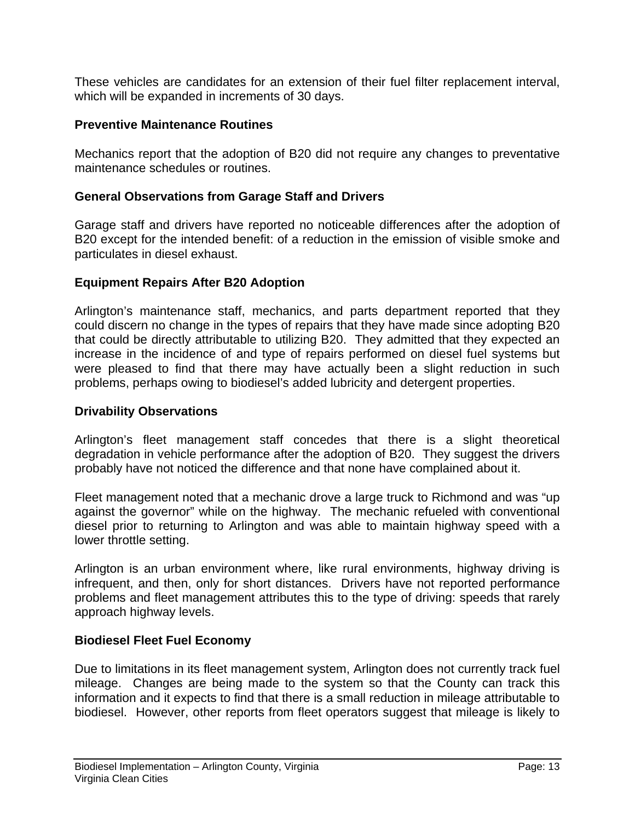These vehicles are candidates for an extension of their fuel filter replacement interval, which will be expanded in increments of 30 days.

#### **Preventive Maintenance Routines**

Mechanics report that the adoption of B20 did not require any changes to preventative maintenance schedules or routines.

#### **General Observations from Garage Staff and Drivers**

Garage staff and drivers have reported no noticeable differences after the adoption of B20 except for the intended benefit: of a reduction in the emission of visible smoke and particulates in diesel exhaust.

#### **Equipment Repairs After B20 Adoption**

Arlington's maintenance staff, mechanics, and parts department reported that they could discern no change in the types of repairs that they have made since adopting B20 that could be directly attributable to utilizing B20. They admitted that they expected an increase in the incidence of and type of repairs performed on diesel fuel systems but were pleased to find that there may have actually been a slight reduction in such problems, perhaps owing to biodiesel's added lubricity and detergent properties.

#### **Drivability Observations**

Arlington's fleet management staff concedes that there is a slight theoretical degradation in vehicle performance after the adoption of B20. They suggest the drivers probably have not noticed the difference and that none have complained about it.

Fleet management noted that a mechanic drove a large truck to Richmond and was "up against the governor" while on the highway. The mechanic refueled with conventional diesel prior to returning to Arlington and was able to maintain highway speed with a lower throttle setting.

Arlington is an urban environment where, like rural environments, highway driving is infrequent, and then, only for short distances. Drivers have not reported performance problems and fleet management attributes this to the type of driving: speeds that rarely approach highway levels.

## **Biodiesel Fleet Fuel Economy**

Due to limitations in its fleet management system, Arlington does not currently track fuel mileage. Changes are being made to the system so that the County can track this information and it expects to find that there is a small reduction in mileage attributable to biodiesel. However, other reports from fleet operators suggest that mileage is likely to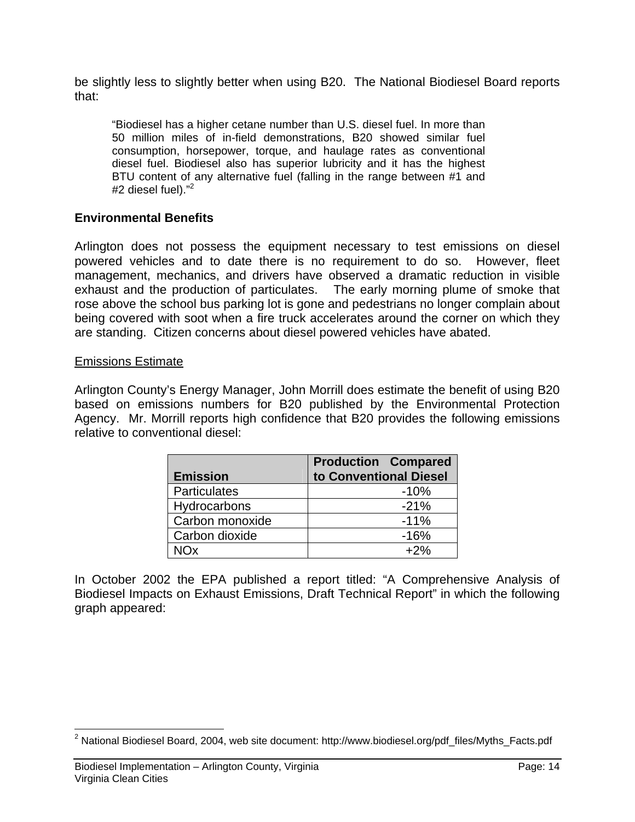be slightly less to slightly better when using B20. The National Biodiesel Board reports that:

"Biodiesel has a higher cetane number than U.S. diesel fuel. In more than 50 million miles of in-field demonstrations, B20 showed similar fuel consumption, horsepower, torque, and haulage rates as conventional diesel fuel. Biodiesel also has superior lubricity and it has the highest BTU content of any alternative fuel (falling in the range between #1 and #2 diesel fuel)."<sup>2</sup>

#### **Environmental Benefits**

Arlington does not possess the equipment necessary to test emissions on diesel powered vehicles and to date there is no requirement to do so. However, fleet management, mechanics, and drivers have observed a dramatic reduction in visible exhaust and the production of particulates. The early morning plume of smoke that rose above the school bus parking lot is gone and pedestrians no longer complain about being covered with soot when a fire truck accelerates around the corner on which they are standing. Citizen concerns about diesel powered vehicles have abated.

#### Emissions Estimate

Arlington County's Energy Manager, John Morrill does estimate the benefit of using B20 based on emissions numbers for B20 published by the Environmental Protection Agency. Mr. Morrill reports high confidence that B20 provides the following emissions relative to conventional diesel:

|                     | <b>Production Compared</b> |
|---------------------|----------------------------|
| <b>Emission</b>     | to Conventional Diesel     |
| <b>Particulates</b> | $-10%$                     |
| Hydrocarbons        | $-21%$                     |
| Carbon monoxide     | $-11%$                     |
| Carbon dioxide      | $-16%$                     |
|                     | $+2%$                      |

In October 2002 the EPA published a report titled: "A Comprehensive Analysis of Biodiesel Impacts on Exhaust Emissions, Draft Technical Report" in which the following graph appeared:

 $\overline{a}$  $^2$  National Biodiesel Board, 2004, web site document: http://www.biodiesel.org/pdf\_files/Myths\_Facts.pdf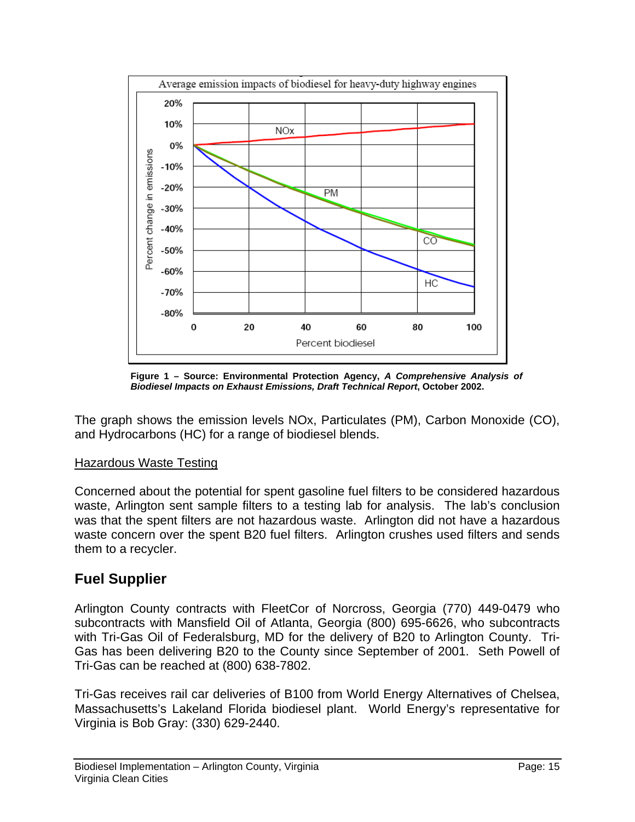

**Figure 1 – Source: Environmental Protection Agency,** *A Comprehensive Analysis of Biodiesel Impacts on Exhaust Emissions, Draft Technical Report***, October 2002.** 

The graph shows the emission levels NOx, Particulates (PM), Carbon Monoxide (CO), and Hydrocarbons (HC) for a range of biodiesel blends.

## Hazardous Waste Testing

Concerned about the potential for spent gasoline fuel filters to be considered hazardous waste, Arlington sent sample filters to a testing lab for analysis. The lab's conclusion was that the spent filters are not hazardous waste. Arlington did not have a hazardous waste concern over the spent B20 fuel filters. Arlington crushes used filters and sends them to a recycler.

## **Fuel Supplier**

Arlington County contracts with FleetCor of Norcross, Georgia (770) 449-0479 who subcontracts with Mansfield Oil of Atlanta, Georgia (800) 695-6626, who subcontracts with Tri-Gas Oil of Federalsburg, MD for the delivery of B20 to Arlington County. Tri-Gas has been delivering B20 to the County since September of 2001. Seth Powell of Tri-Gas can be reached at (800) 638-7802.

Tri-Gas receives rail car deliveries of B100 from World Energy Alternatives of Chelsea, Massachusetts's Lakeland Florida biodiesel plant. World Energy's representative for Virginia is Bob Gray: (330) 629-2440.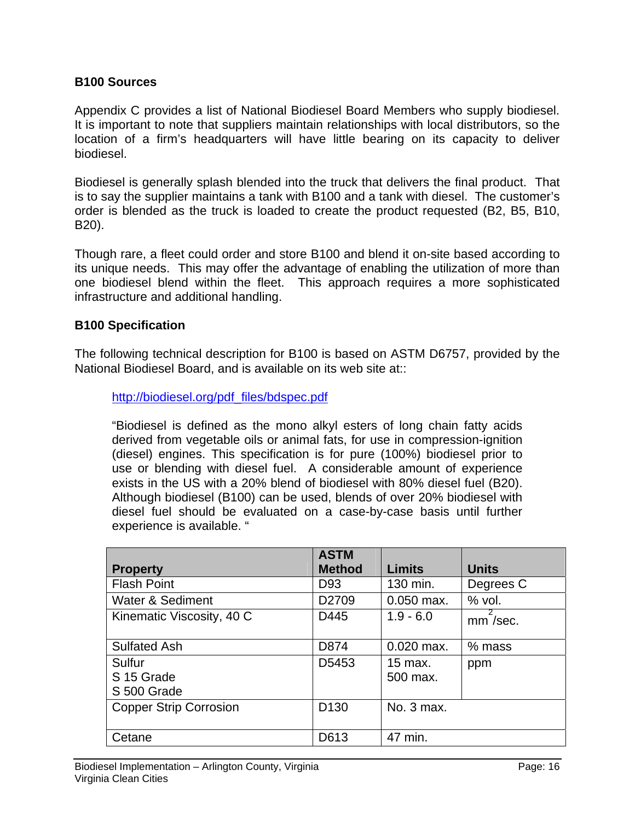#### **B100 Sources**

Appendix C provides a list of National Biodiesel Board Members who supply biodiesel. It is important to note that suppliers maintain relationships with local distributors, so the location of a firm's headquarters will have little bearing on its capacity to deliver biodiesel.

Biodiesel is generally splash blended into the truck that delivers the final product. That is to say the supplier maintains a tank with B100 and a tank with diesel. The customer's order is blended as the truck is loaded to create the product requested (B2, B5, B10, B20).

Though rare, a fleet could order and store B100 and blend it on-site based according to its unique needs. This may offer the advantage of enabling the utilization of more than one biodiesel blend within the fleet. This approach requires a more sophisticated infrastructure and additional handling.

#### **B100 Specification**

The following technical description for B100 is based on ASTM D6757, provided by the National Biodiesel Board, and is available on its web site at::

http://biodiesel.org/pdf\_files/bdspec.pdf

"Biodiesel is defined as the mono alkyl esters of long chain fatty acids derived from vegetable oils or animal fats, for use in compression-ignition (diesel) engines. This specification is for pure (100%) biodiesel prior to use or blending with diesel fuel. A considerable amount of experience exists in the US with a 20% blend of biodiesel with 80% diesel fuel (B20). Although biodiesel (B100) can be used, blends of over 20% biodiesel with diesel fuel should be evaluated on a case-by-case basis until further experience is available. "

|                                     | <b>ASTM</b>       |                     |              |
|-------------------------------------|-------------------|---------------------|--------------|
| <b>Property</b>                     | <b>Method</b>     | <b>Limits</b>       | <b>Units</b> |
| <b>Flash Point</b>                  | D <sub>93</sub>   | 130 min.            | Degrees C    |
| <b>Water &amp; Sediment</b>         | D <sub>2709</sub> | $0.050$ max.        | $%$ vol.     |
| Kinematic Viscosity, 40 C           | D445              | $1.9 - 6.0$         | $mm$ /sec.   |
| <b>Sulfated Ash</b>                 | D874              | $0.020$ max.        | $%$ mass     |
| Sulfur<br>S 15 Grade<br>S 500 Grade | D5453             | 15 max.<br>500 max. | ppm          |
| <b>Copper Strip Corrosion</b>       | D <sub>130</sub>  | No. 3 max.          |              |
| Cetane                              | D613              | 47 min.             |              |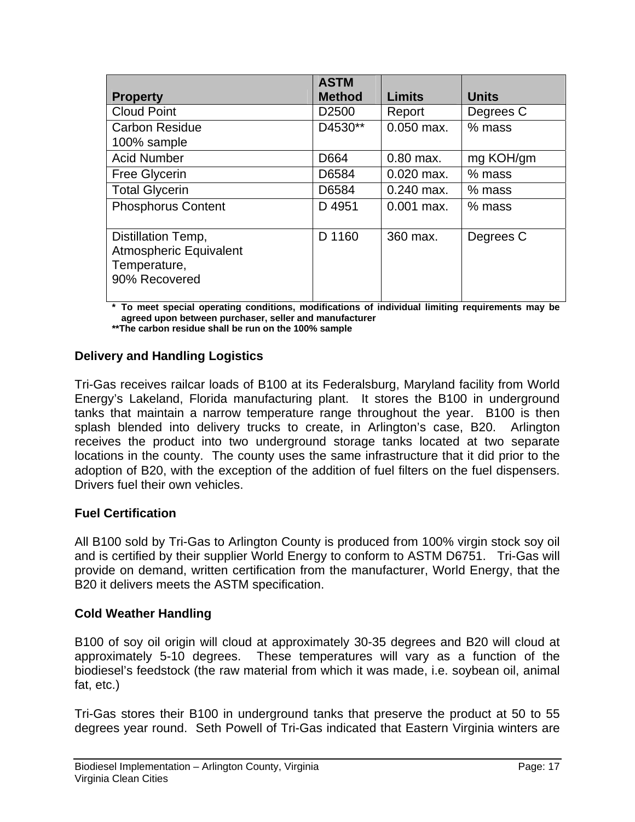|                                                                                      | <b>ASTM</b>       |               |              |
|--------------------------------------------------------------------------------------|-------------------|---------------|--------------|
| <b>Property</b>                                                                      | <b>Method</b>     | <b>Limits</b> | <b>Units</b> |
| <b>Cloud Point</b>                                                                   | D <sub>2500</sub> | Report        | Degrees C    |
| <b>Carbon Residue</b>                                                                | D4530**           | $0.050$ max.  | $%$ mass     |
| 100% sample                                                                          |                   |               |              |
| <b>Acid Number</b>                                                                   | D664              | $0.80$ max.   | mg KOH/gm    |
| <b>Free Glycerin</b>                                                                 | D6584             | $0.020$ max.  | $%$ mass     |
| <b>Total Glycerin</b>                                                                | D6584             | $0.240$ max.  | $%$ mass     |
| <b>Phosphorus Content</b>                                                            | D 4951            | $0.001$ max.  | $%$ mass     |
| Distillation Temp,<br><b>Atmospheric Equivalent</b><br>Temperature,<br>90% Recovered | D 1160            | 360 max.      | Degrees C    |

**\* To meet special operating conditions, modifications of individual limiting requirements may be agreed upon between purchaser, seller and manufacturer** 

**\*\*The carbon residue shall be run on the 100% sample**

## **Delivery and Handling Logistics**

Tri-Gas receives railcar loads of B100 at its Federalsburg, Maryland facility from World Energy's Lakeland, Florida manufacturing plant. It stores the B100 in underground tanks that maintain a narrow temperature range throughout the year. B100 is then splash blended into delivery trucks to create, in Arlington's case, B20. Arlington receives the product into two underground storage tanks located at two separate locations in the county. The county uses the same infrastructure that it did prior to the adoption of B20, with the exception of the addition of fuel filters on the fuel dispensers. Drivers fuel their own vehicles.

## **Fuel Certification**

All B100 sold by Tri-Gas to Arlington County is produced from 100% virgin stock soy oil and is certified by their supplier World Energy to conform to ASTM D6751. Tri-Gas will provide on demand, written certification from the manufacturer, World Energy, that the B20 it delivers meets the ASTM specification.

## **Cold Weather Handling**

B100 of soy oil origin will cloud at approximately 30-35 degrees and B20 will cloud at approximately 5-10 degrees. These temperatures will vary as a function of the biodiesel's feedstock (the raw material from which it was made, i.e. soybean oil, animal fat, etc.)

Tri-Gas stores their B100 in underground tanks that preserve the product at 50 to 55 degrees year round. Seth Powell of Tri-Gas indicated that Eastern Virginia winters are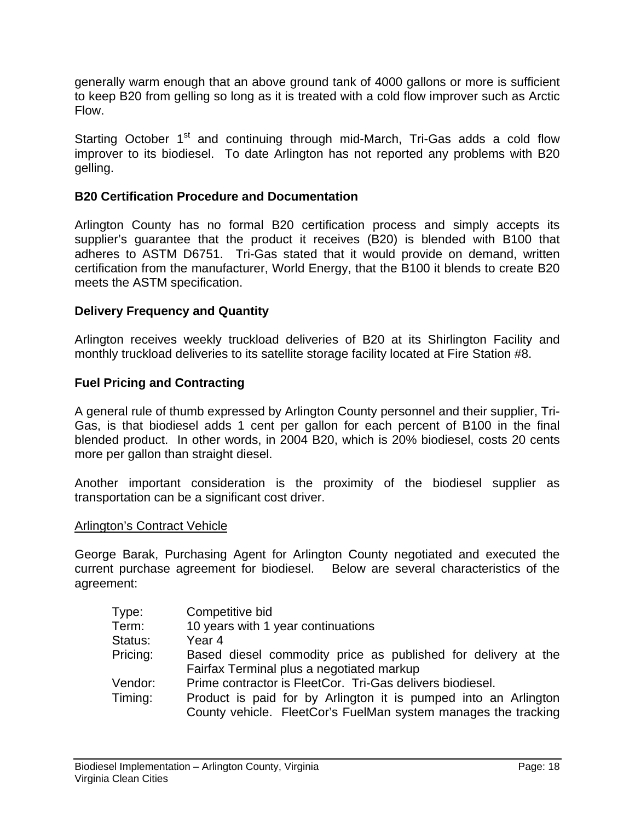generally warm enough that an above ground tank of 4000 gallons or more is sufficient to keep B20 from gelling so long as it is treated with a cold flow improver such as Arctic Flow.

Starting October 1<sup>st</sup> and continuing through mid-March, Tri-Gas adds a cold flow improver to its biodiesel. To date Arlington has not reported any problems with B20 gelling.

#### **B20 Certification Procedure and Documentation**

Arlington County has no formal B20 certification process and simply accepts its supplier's guarantee that the product it receives (B20) is blended with B100 that adheres to ASTM D6751. Tri-Gas stated that it would provide on demand, written certification from the manufacturer, World Energy, that the B100 it blends to create B20 meets the ASTM specification.

#### **Delivery Frequency and Quantity**

Arlington receives weekly truckload deliveries of B20 at its Shirlington Facility and monthly truckload deliveries to its satellite storage facility located at Fire Station #8.

#### **Fuel Pricing and Contracting**

A general rule of thumb expressed by Arlington County personnel and their supplier, Tri-Gas, is that biodiesel adds 1 cent per gallon for each percent of B100 in the final blended product. In other words, in 2004 B20, which is 20% biodiesel, costs 20 cents more per gallon than straight diesel.

Another important consideration is the proximity of the biodiesel supplier as transportation can be a significant cost driver.

#### Arlington's Contract Vehicle

George Barak, Purchasing Agent for Arlington County negotiated and executed the current purchase agreement for biodiesel. Below are several characteristics of the agreement:

| Competitive bid                                                 |
|-----------------------------------------------------------------|
| 10 years with 1 year continuations                              |
| Year 4                                                          |
| Based diesel commodity price as published for delivery at the   |
| Fairfax Terminal plus a negotiated markup                       |
| Prime contractor is FleetCor. Tri-Gas delivers biodiesel.       |
| Product is paid for by Arlington it is pumped into an Arlington |
| County vehicle. FleetCor's FuelMan system manages the tracking  |
|                                                                 |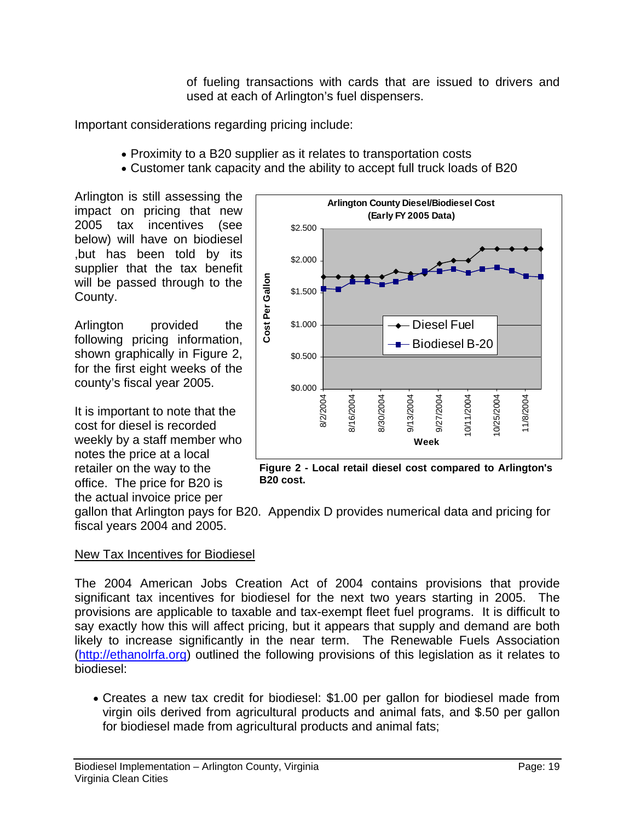of fueling transactions with cards that are issued to drivers and used at each of Arlington's fuel dispensers.

Important considerations regarding pricing include:

- Proximity to a B20 supplier as it relates to transportation costs
- Customer tank capacity and the ability to accept full truck loads of B20

Arlington is still assessing the impact on pricing that new 2005 tax incentives (see below) will have on biodiesel ,but has been told by its supplier that the tax benefit will be passed through to the County.

Arlington provided the following pricing information, shown graphically in Figure 2, for the first eight weeks of the county's fiscal year 2005.

It is important to note that the cost for diesel is recorded weekly by a staff member who notes the price at a local retailer on the way to the office. The price for B20 is the actual invoice price per



**Figure 2 - Local retail diesel cost compared to Arlington's B20 cost.** 

gallon that Arlington pays for B20. Appendix D provides numerical data and pricing for fiscal years 2004 and 2005.

## New Tax Incentives for Biodiesel

The 2004 American Jobs Creation Act of 2004 contains provisions that provide significant tax incentives for biodiesel for the next two years starting in 2005. The provisions are applicable to taxable and tax-exempt fleet fuel programs. It is difficult to say exactly how this will affect pricing, but it appears that supply and demand are both likely to increase significantly in the near term. The Renewable Fuels Association (http://ethanolrfa.org) outlined the following provisions of this legislation as it relates to biodiesel:

• Creates a new tax credit for biodiesel: \$1.00 per gallon for biodiesel made from virgin oils derived from agricultural products and animal fats, and \$.50 per gallon for biodiesel made from agricultural products and animal fats;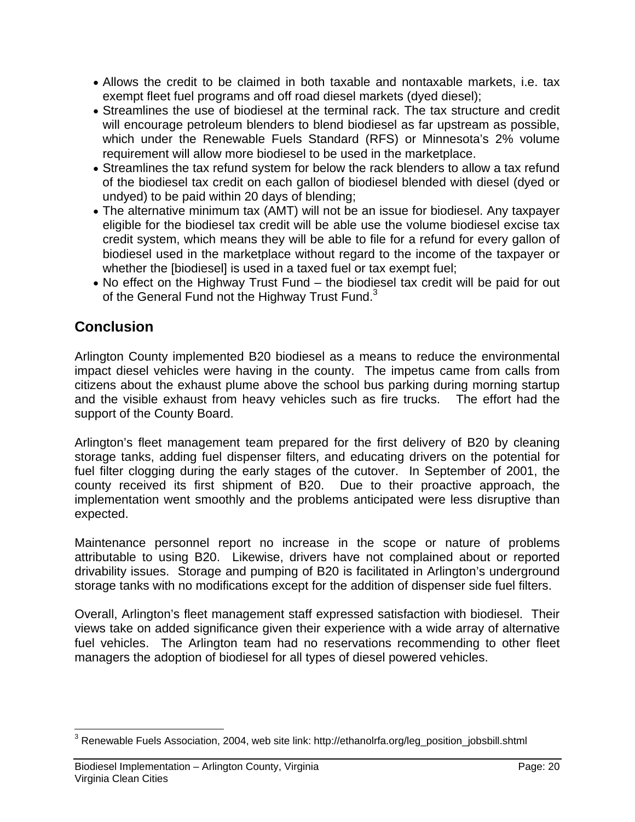- Allows the credit to be claimed in both taxable and nontaxable markets, i.e. tax exempt fleet fuel programs and off road diesel markets (dyed diesel);
- Streamlines the use of biodiesel at the terminal rack. The tax structure and credit will encourage petroleum blenders to blend biodiesel as far upstream as possible, which under the Renewable Fuels Standard (RFS) or Minnesota's 2% volume requirement will allow more biodiesel to be used in the marketplace.
- Streamlines the tax refund system for below the rack blenders to allow a tax refund of the biodiesel tax credit on each gallon of biodiesel blended with diesel (dyed or undyed) to be paid within 20 days of blending;
- The alternative minimum tax (AMT) will not be an issue for biodiesel. Any taxpayer eligible for the biodiesel tax credit will be able use the volume biodiesel excise tax credit system, which means they will be able to file for a refund for every gallon of biodiesel used in the marketplace without regard to the income of the taxpayer or whether the [biodiesel] is used in a taxed fuel or tax exempt fuel;
- No effect on the Highway Trust Fund the biodiesel tax credit will be paid for out of the General Fund not the Highway Trust Fund.<sup>3</sup>

# **Conclusion**

Arlington County implemented B20 biodiesel as a means to reduce the environmental impact diesel vehicles were having in the county. The impetus came from calls from citizens about the exhaust plume above the school bus parking during morning startup and the visible exhaust from heavy vehicles such as fire trucks. The effort had the support of the County Board.

Arlington's fleet management team prepared for the first delivery of B20 by cleaning storage tanks, adding fuel dispenser filters, and educating drivers on the potential for fuel filter clogging during the early stages of the cutover. In September of 2001, the county received its first shipment of B20. Due to their proactive approach, the implementation went smoothly and the problems anticipated were less disruptive than expected.

Maintenance personnel report no increase in the scope or nature of problems attributable to using B20. Likewise, drivers have not complained about or reported drivability issues. Storage and pumping of B20 is facilitated in Arlington's underground storage tanks with no modifications except for the addition of dispenser side fuel filters.

Overall, Arlington's fleet management staff expressed satisfaction with biodiesel. Their views take on added significance given their experience with a wide array of alternative fuel vehicles. The Arlington team had no reservations recommending to other fleet managers the adoption of biodiesel for all types of diesel powered vehicles.

 $\overline{a}$  $3$  Renewable Fuels Association, 2004, web site link: http://ethanolrfa.org/leg\_position\_jobsbill.shtml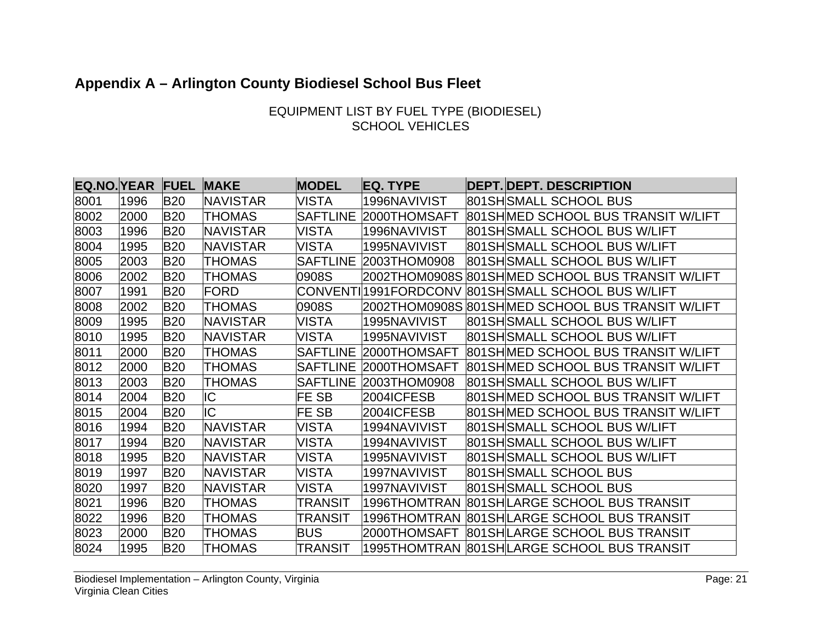# **Appendix A – Arlington County Biodiesel School Bus Fleet**

## EQUIPMENT LIST BY FUEL TYPE (BIODIESEL) SCHOOL VEHICLES

| <b>EQ.NO.YEAR</b> |      | <b>FUEL</b> | <b>MAKE</b>     | <b>MODEL</b>    | <b>EQ. TYPE</b>        | <b>DEPT. DEPT. DESCRIPTION</b>      |
|-------------------|------|-------------|-----------------|-----------------|------------------------|-------------------------------------|
| 8001              | 1996 | <b>B20</b>  | <b>NAVISTAR</b> | <b>VISTA</b>    | 1996NAVIVIST           | 801SH SMALL SCHOOL BUS              |
| 8002              | 2000 | <b>B20</b>  | <b>THOMAS</b>   | <b>SAFTLINE</b> | 2000THOMSAFT           | 801SH MED SCHOOL BUS TRANSIT W/LIFT |
| 8003              | 1996 | <b>B20</b>  | <b>NAVISTAR</b> | <b>VISTA</b>    | 1996NAVIVIST           | 801SH SMALL SCHOOL BUS W/LIFT       |
| 8004              | 1995 | <b>B20</b>  | <b>NAVISTAR</b> | <b>VISTA</b>    | 1995NAVIVIST           | 801SH SMALL SCHOOL BUS W/LIFT       |
| 8005              | 2003 | <b>B20</b>  | <b>THOMAS</b>   | <b>SAFTLINE</b> | 2003THOM0908           | 801SH SMALL SCHOOL BUS W/LIFT       |
| 8006              | 2002 | <b>B20</b>  | <b>THOMAS</b>   | 0908S           |                        |                                     |
| 8007              | 1991 | <b>B20</b>  | FORD            |                 | CONVENTI 1991 FORDCONV | 801SH SMALL SCHOOL BUS W/LIFT       |
| 8008              | 2002 | <b>B20</b>  | <b>THOMAS</b>   | 0908S           |                        |                                     |
| 8009              | 1995 | <b>B20</b>  | <b>NAVISTAR</b> | VISTA           | 1995NAVIVIST           | 801SH SMALL SCHOOL BUS W/LIFT       |
| 8010              | 1995 | <b>B20</b>  | <b>NAVISTAR</b> | <b>VISTA</b>    | 1995NAVIVIST           | 801SH SMALL SCHOOL BUS W/LIFT       |
| 8011              | 2000 | <b>B20</b>  | <b>THOMAS</b>   | <b>SAFTLINE</b> | 2000THOMSAFT           | 801SH MED SCHOOL BUS TRANSIT W/LIFT |
| 8012              | 2000 | <b>B20</b>  | <b>THOMAS</b>   | <b>SAFTLINE</b> | 2000THOMSAFT           | 801SH MED SCHOOL BUS TRANSIT W/LIFT |
| 8013              | 2003 | <b>B20</b>  | <b>THOMAS</b>   | <b>SAFTLINE</b> | 2003THOM0908           | 801SH SMALL SCHOOL BUS W/LIFT       |
| 8014              | 2004 | <b>B20</b>  | IC              | FE SB           | 2004ICFESB             | 801SH MED SCHOOL BUS TRANSIT W/LIFT |
| 8015              | 2004 | <b>B20</b>  | IC              | FE SB           | 2004ICFESB             | 801SH MED SCHOOL BUS TRANSIT W/LIFT |
| 8016              | 1994 | <b>B20</b>  | <b>NAVISTAR</b> | <b>VISTA</b>    | 1994NAVIVIST           | 801SH SMALL SCHOOL BUS W/LIFT       |
| 8017              | 1994 | <b>B20</b>  | <b>NAVISTAR</b> | VISTA           | 1994NAVIVIST           | 801SH SMALL SCHOOL BUS W/LIFT       |
| 8018              | 1995 | <b>B20</b>  | <b>NAVISTAR</b> | <b>VISTA</b>    | 1995NAVIVIST           | 801SH SMALL SCHOOL BUS W/LIFT       |
| 8019              | 1997 | <b>B20</b>  | <b>NAVISTAR</b> | <b>VISTA</b>    | 1997NAVIVIST           | 801SH SMALL SCHOOL BUS              |
| 8020              | 1997 | <b>B20</b>  | <b>NAVISTAR</b> | <b>VISTA</b>    | 1997NAVIVIST           | 801SHSMALL SCHOOL BUS               |
| 8021              | 1996 | <b>B20</b>  | <b>THOMAS</b>   | <b>TRANSIT</b>  | 1996THOMTRAN           | 801SHLARGE SCHOOL BUS TRANSIT       |
| 8022              | 1996 | <b>B20</b>  | <b>THOMAS</b>   | <b>TRANSIT</b>  | 1996THOMTRAN           | 801SHLARGE SCHOOL BUS TRANSIT       |
| 8023              | 2000 | <b>B20</b>  | <b>THOMAS</b>   | <b>BUS</b>      | 2000THOMSAFT           | 801SHLARGE SCHOOL BUS TRANSIT       |
| 8024              | 1995 | <b>B20</b>  | <b>THOMAS</b>   | TRANSIT         |                        |                                     |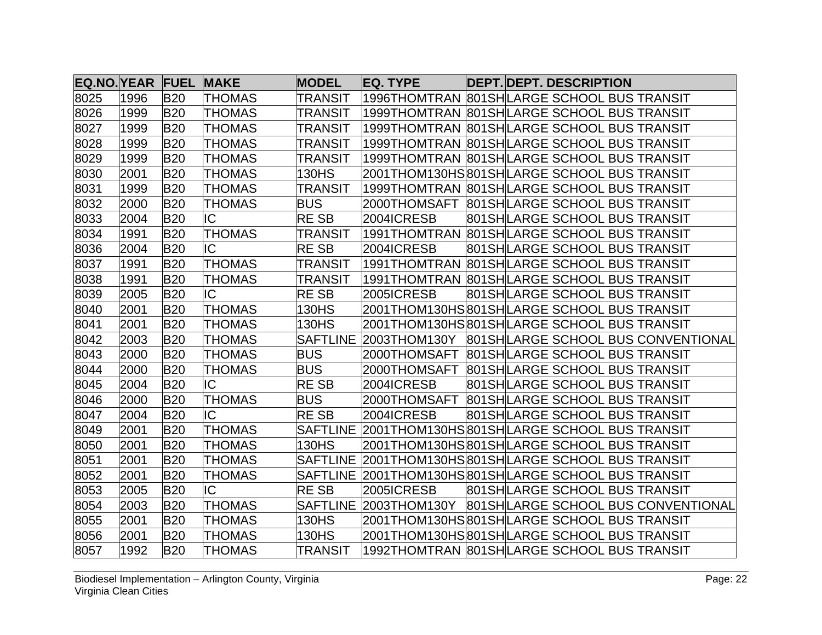| <b>EQ.NO. YEAR FUEL</b> |      |            | <b>MAKE</b>   | <b>MODEL</b>    | <b>EQ. TYPE</b> | <b>DEPT. DEPT. DESCRIPTION</b>                      |
|-------------------------|------|------------|---------------|-----------------|-----------------|-----------------------------------------------------|
| 8025                    | 1996 | <b>B20</b> | <b>THOMAS</b> | <b>TRANSIT</b>  |                 |                                                     |
| 8026                    | 1999 | <b>B20</b> | <b>THOMAS</b> | TRANSIT         |                 |                                                     |
| 8027                    | 1999 | <b>B20</b> | <b>THOMAS</b> | <b>TRANSIT</b>  |                 |                                                     |
| 8028                    | 1999 | <b>B20</b> | <b>THOMAS</b> | TRANSIT         |                 |                                                     |
| 8029                    | 1999 | <b>B20</b> | <b>THOMAS</b> | <b>TRANSIT</b>  |                 |                                                     |
| 8030                    | 2001 | <b>B20</b> | <b>THOMAS</b> | 130HS           |                 | 2001THOM130HS 801SH LARGE SCHOOL BUS TRANSIT        |
| 8031                    | 1999 | <b>B20</b> | <b>THOMAS</b> | <b>TRANSIT</b>  |                 |                                                     |
| 8032                    | 2000 | <b>B20</b> | <b>THOMAS</b> | <b>BUS</b>      |                 |                                                     |
| 8033                    | 2004 | <b>B20</b> | IC            | <b>RESB</b>     | 2004ICRESB      | 801 SH LARGE SCHOOL BUS TRANSIT                     |
| 8034                    | 1991 | <b>B20</b> | <b>THOMAS</b> | <b>TRANSIT</b>  |                 |                                                     |
| 8036                    | 2004 | <b>B20</b> | IC            | <b>RESB</b>     | 2004ICRESB      | 801SHLARGE SCHOOL BUS TRANSIT                       |
| 8037                    | 1991 | <b>B20</b> | <b>THOMAS</b> | <b>TRANSIT</b>  |                 |                                                     |
| 8038                    | 1991 | <b>B20</b> | <b>THOMAS</b> | <b>TRANSIT</b>  |                 |                                                     |
| 8039                    | 2005 | <b>B20</b> | IC            | <b>RESB</b>     | 2005ICRESB      | 801SHLARGE SCHOOL BUS TRANSIT                       |
| 8040                    | 2001 | <b>B20</b> | <b>THOMAS</b> | 130HS           |                 | 2001THOM130HS 801SH LARGE SCHOOL BUS TRANSIT        |
| 8041                    | 2001 | <b>B20</b> | <b>THOMAS</b> | 130HS           |                 | 2001THOM130HS 801SH LARGE SCHOOL BUS TRANSIT        |
| 8042                    | 2003 | <b>B20</b> | <b>THOMAS</b> | <b>SAFTLINE</b> |                 | 2003THOM130Y 801SHLARGE SCHOOL BUS CONVENTIONAL     |
| 8043                    | 2000 | <b>B20</b> | <b>THOMAS</b> | <b>BUS</b>      |                 |                                                     |
| 8044                    | 2000 | <b>B20</b> | <b>THOMAS</b> | <b>BUS</b>      | 2000THOMSAFT    | 801 SH LARGE SCHOOL BUS TRANSIT                     |
| 8045                    | 2004 | <b>B20</b> | IC            | <b>RESB</b>     | 2004ICRESB      | 801SHLARGE SCHOOL BUS TRANSIT                       |
| 8046                    | 2000 | <b>B20</b> | <b>THOMAS</b> | <b>BUS</b>      |                 |                                                     |
| 8047                    | 2004 | <b>B20</b> | IC            | <b>RESB</b>     | 2004ICRESB      | 801SHLARGE SCHOOL BUS TRANSIT                       |
| 8049                    | 2001 | <b>B20</b> | <b>THOMAS</b> |                 |                 | SAFTLINE 2001THOM130HS801SHLARGE SCHOOL BUS TRANSIT |
| 8050                    | 2001 | <b>B20</b> | <b>THOMAS</b> | 130HS           |                 | 2001THOM130HS 801SH LARGE SCHOOL BUS TRANSIT        |
| 8051                    | 2001 | <b>B20</b> | <b>THOMAS</b> |                 |                 |                                                     |
| 8052                    | 2001 | <b>B20</b> | <b>THOMAS</b> | <b>SAFTLINE</b> |                 | 2001THOM130HS801SHLARGE SCHOOL BUS TRANSIT          |
| 8053                    | 2005 | <b>B20</b> | IC            | <b>RESB</b>     | 2005ICRESB      | 801SHLARGE SCHOOL BUS TRANSIT                       |
| 8054                    | 2003 | <b>B20</b> | <b>THOMAS</b> | <b>SAFTLINE</b> |                 | 2003THOM130Y 801SHLARGE SCHOOL BUS CONVENTIONAL     |
| 8055                    | 2001 | <b>B20</b> | <b>THOMAS</b> | 130HS           |                 | 2001THOM130HS 801SH LARGE SCHOOL BUS TRANSIT        |
| 8056                    | 2001 | <b>B20</b> | <b>THOMAS</b> | 130HS           |                 | 2001THOM130HS 801SH LARGE SCHOOL BUS TRANSIT        |
| 8057                    | 1992 | <b>B20</b> | <b>THOMAS</b> | <b>TRANSIT</b>  |                 |                                                     |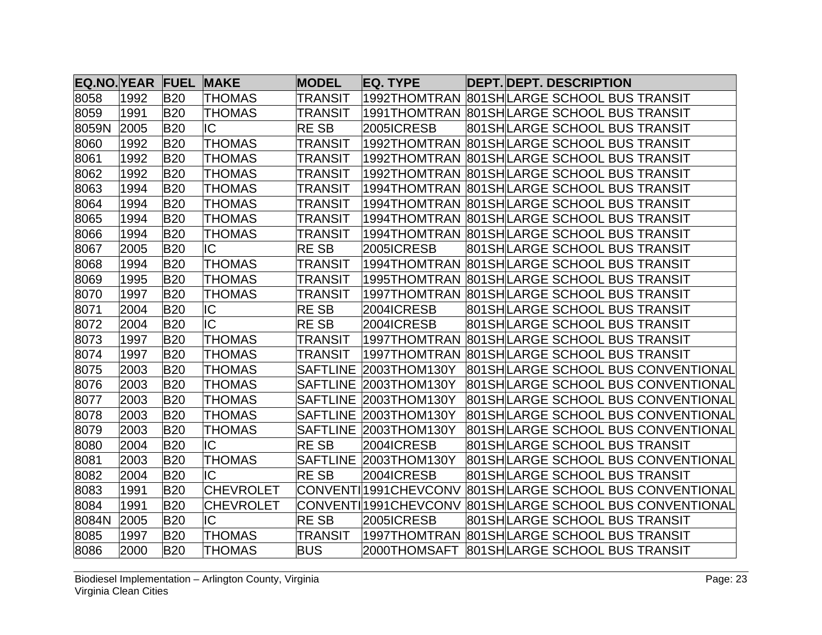| <b>EQ.NO. YEAR FUEL</b> |      |            | <b>MAKE</b>      | <b>MODEL</b>    | <b>EQ. TYPE</b>         | <b>DEPT. DEPT. DESCRIPTION</b>             |
|-------------------------|------|------------|------------------|-----------------|-------------------------|--------------------------------------------|
| 8058                    | 1992 | <b>B20</b> | <b>THOMAS</b>    | <b>TRANSIT</b>  |                         | 1992THOMTRAN 801SHLARGE SCHOOL BUS TRANSIT |
| 8059                    | 1991 | <b>B20</b> | <b>THOMAS</b>    | TRANSIT         |                         | 1991THOMTRAN 801SHLARGE SCHOOL BUS TRANSIT |
| 8059N                   | 2005 | <b>B20</b> | IC               | <b>RESB</b>     | 2005ICRESB              | 801SHLARGE SCHOOL BUS TRANSIT              |
| 8060                    | 1992 | <b>B20</b> | <b>THOMAS</b>    | TRANSIT         |                         | 1992THOMTRAN 801SHLARGE SCHOOL BUS TRANSIT |
| 8061                    | 1992 | <b>B20</b> | <b>THOMAS</b>    | <b>TRANSIT</b>  |                         | 1992THOMTRAN 801SHLARGE SCHOOL BUS TRANSIT |
| 8062                    | 1992 | <b>B20</b> | <b>THOMAS</b>    | <b>TRANSIT</b>  |                         | 1992THOMTRAN 801SHLARGE SCHOOL BUS TRANSIT |
| 8063                    | 1994 | <b>B20</b> | <b>THOMAS</b>    | <b>TRANSIT</b>  |                         |                                            |
| 8064                    | 1994 | <b>B20</b> | <b>THOMAS</b>    | TRANSIT         |                         | 1994THOMTRAN 801SHLARGE SCHOOL BUS TRANSIT |
| 8065                    | 1994 | <b>B20</b> | <b>THOMAS</b>    | <b>TRANSIT</b>  |                         |                                            |
| 8066                    | 1994 | <b>B20</b> | <b>THOMAS</b>    | <b>TRANSIT</b>  |                         |                                            |
| 8067                    | 2005 | <b>B20</b> | IC               | <b>RESB</b>     | 2005ICRESB              | 801SHLARGE SCHOOL BUS TRANSIT              |
| 8068                    | 1994 | <b>B20</b> | <b>THOMAS</b>    | <b>TRANSIT</b>  |                         | 1994THOMTRAN 801SHLARGE SCHOOL BUS TRANSIT |
| 8069                    | 1995 | <b>B20</b> | <b>THOMAS</b>    | <b>TRANSIT</b>  |                         | 1995THOMTRAN 801SHLARGE SCHOOL BUS TRANSIT |
| 8070                    | 1997 | <b>B20</b> | <b>THOMAS</b>    | TRANSIT         |                         | 1997THOMTRAN 801SHLARGE SCHOOL BUS TRANSIT |
| 8071                    | 2004 | <b>B20</b> | IC               | <b>RESB</b>     | 2004ICRESB              | 801SHLARGE SCHOOL BUS TRANSIT              |
| 8072                    | 2004 | <b>B20</b> | IC               | <b>RESB</b>     | 2004ICRESB              | 801SHLARGE SCHOOL BUS TRANSIT              |
| 8073                    | 1997 | <b>B20</b> | <b>THOMAS</b>    | <b>TRANSIT</b>  |                         | 1997THOMTRAN 801SHLARGE SCHOOL BUS TRANSIT |
| 8074                    | 1997 | <b>B20</b> | <b>THOMAS</b>    | <b>TRANSIT</b>  |                         |                                            |
| 8075                    | 2003 | <b>B20</b> | <b>THOMAS</b>    | <b>SAFTLINE</b> | 2003THOM130Y            | 801SHLARGE SCHOOL BUS CONVENTIONAL         |
| 8076                    | 2003 | <b>B20</b> | <b>THOMAS</b>    |                 | SAFTLINE 2003THOM130Y   | 801SHLARGE SCHOOL BUS CONVENTIONAL         |
| 8077                    | 2003 | <b>B20</b> | <b>THOMAS</b>    | <b>SAFTLINE</b> | 2003THOM130Y            | 801SHLARGE SCHOOL BUS CONVENTIONAL         |
| 8078                    | 2003 | <b>B20</b> | <b>THOMAS</b>    |                 | SAFTLINE 2003THOM130Y   | 801SHLARGE SCHOOL BUS CONVENTIONAL         |
| 8079                    | 2003 | <b>B20</b> | <b>THOMAS</b>    |                 | SAFTLINE 2003THOM130Y   | 801SHLARGE SCHOOL BUS CONVENTIONAL         |
| 8080                    | 2004 | <b>B20</b> | IC               | <b>RESB</b>     | 2004ICRESB              | 801SHLARGE SCHOOL BUS TRANSIT              |
| 8081                    | 2003 | <b>B20</b> | <b>THOMAS</b>    |                 | SAFTLINE 2003THOM130Y   | 801SHLARGE SCHOOL BUS CONVENTIONAL         |
| 8082                    | 2004 | <b>B20</b> | IC               | <b>RESB</b>     | 2004ICRESB              | 801SHLARGE SCHOOL BUS TRANSIT              |
| 8083                    | 1991 | <b>B20</b> | <b>CHEVROLET</b> |                 | CONVENTI 1991 CHEV CONV | 801 SH LARGE SCHOOL BUS CONVENTIONAL       |
| 8084                    | 1991 | <b>B20</b> | <b>CHEVROLET</b> |                 | CONVENTI 1991 CHEV CONV | 801SHLARGE SCHOOL BUS CONVENTIONAL         |
| 8084N                   | 2005 | <b>B20</b> | IC               | <b>RESB</b>     | 2005ICRESB              | 801SHLARGE SCHOOL BUS TRANSIT              |
| 8085                    | 1997 | <b>B20</b> | <b>THOMAS</b>    | <b>TRANSIT</b>  | 1997THOMTRAN            | 801 SH LARGE SCHOOL BUS TRANSIT            |
| 8086                    | 2000 | <b>B20</b> | <b>THOMAS</b>    | <b>BUS</b>      | 2000THOMSAFT            | 801SHLARGE SCHOOL BUS TRANSIT              |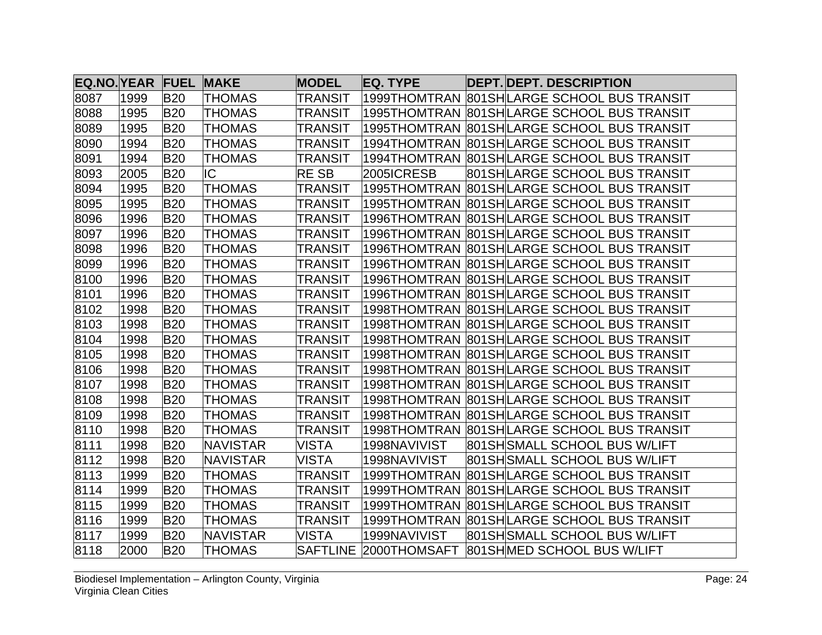| <b>EQ.NO. YEAR FUEL</b> |      |            | <b>MAKE</b>     | <b>MODEL</b>   | <b>EQ. TYPE</b>       | <b>DEPT. DEPT. DESCRIPTION</b>             |
|-------------------------|------|------------|-----------------|----------------|-----------------------|--------------------------------------------|
| 8087                    | 1999 | <b>B20</b> | <b>THOMAS</b>   | <b>TRANSIT</b> |                       |                                            |
| 8088                    | 1995 | <b>B20</b> | <b>THOMAS</b>   | <b>TRANSIT</b> |                       |                                            |
| 8089                    | 1995 | <b>B20</b> | <b>THOMAS</b>   | TRANSIT        |                       |                                            |
| 8090                    | 1994 | <b>B20</b> | <b>THOMAS</b>   | <b>TRANSIT</b> | 1994THOMTRAN          | 801 SH LARGE SCHOOL BUS TRANSIT            |
| 8091                    | 1994 | <b>B20</b> | <b>THOMAS</b>   | <b>TRANSIT</b> |                       |                                            |
| 8093                    | 2005 | <b>B20</b> | IC              | <b>RESB</b>    | 2005ICRESB            | 801SHLARGE SCHOOL BUS TRANSIT              |
| 8094                    | 1995 | <b>B20</b> | <b>THOMAS</b>   | <b>TRANSIT</b> |                       |                                            |
| 8095                    | 1995 | <b>B20</b> | <b>THOMAS</b>   | <b>TRANSIT</b> |                       |                                            |
| 8096                    | 1996 | <b>B20</b> | <b>THOMAS</b>   | <b>TRANSIT</b> |                       |                                            |
| 8097                    | 1996 | <b>B20</b> | <b>THOMAS</b>   | TRANSIT        |                       | 1996THOMTRAN 801SHLARGE SCHOOL BUS TRANSIT |
| 8098                    | 1996 | <b>B20</b> | <b>THOMAS</b>   | <b>TRANSIT</b> |                       | 1996THOMTRAN 801SHLARGE SCHOOL BUS TRANSIT |
| 8099                    | 1996 | <b>B20</b> | <b>THOMAS</b>   | <b>TRANSIT</b> |                       | 1996THOMTRAN 801SHLARGE SCHOOL BUS TRANSIT |
| 8100                    | 1996 | <b>B20</b> | <b>THOMAS</b>   | TRANSIT        |                       |                                            |
| 8101                    | 1996 | <b>B20</b> | <b>THOMAS</b>   | <b>TRANSIT</b> |                       | 1996THOMTRAN 801SHLARGE SCHOOL BUS TRANSIT |
| 8102                    | 1998 | <b>B20</b> | <b>THOMAS</b>   | <b>TRANSIT</b> |                       | 1998THOMTRAN 801SHLARGE SCHOOL BUS TRANSIT |
| 8103                    | 1998 | <b>B20</b> | <b>THOMAS</b>   | <b>TRANSIT</b> |                       |                                            |
| 8104                    | 1998 | <b>B20</b> | <b>THOMAS</b>   | <b>TRANSIT</b> |                       | 1998THOMTRAN 801SHLARGE SCHOOL BUS TRANSIT |
| 8105                    | 1998 | <b>B20</b> | <b>THOMAS</b>   | <b>TRANSIT</b> |                       | 1998THOMTRAN 801SHLARGE SCHOOL BUS TRANSIT |
| 8106                    | 1998 | <b>B20</b> | <b>THOMAS</b>   | <b>TRANSIT</b> |                       |                                            |
| 8107                    | 1998 | <b>B20</b> | <b>THOMAS</b>   | <b>TRANSIT</b> |                       |                                            |
| 8108                    | 1998 | <b>B20</b> | <b>THOMAS</b>   | <b>TRANSIT</b> |                       | 1998THOMTRAN 801SHLARGE SCHOOL BUS TRANSIT |
| 8109                    | 1998 | <b>B20</b> | <b>THOMAS</b>   | TRANSIT        |                       |                                            |
| 8110                    | 1998 | <b>B20</b> | <b>THOMAS</b>   | <b>TRANSIT</b> |                       | 1998THOMTRAN 801SHLARGE SCHOOL BUS TRANSIT |
| 8111                    | 1998 | <b>B20</b> | <b>NAVISTAR</b> | <b>VISTA</b>   | 1998NAVIVIST          | 801SH SMALL SCHOOL BUS W/LIFT              |
| 8112                    | 1998 | <b>B20</b> | <b>NAVISTAR</b> | <b>VISTA</b>   | 1998NAVIVIST          | 801SH SMALL SCHOOL BUS W/LIFT              |
| 8113                    | 1999 | <b>B20</b> | <b>THOMAS</b>   | <b>TRANSIT</b> |                       |                                            |
| 8114                    | 1999 | <b>B20</b> | <b>THOMAS</b>   | <b>TRANSIT</b> | 1999THOMTRAN          | 801SHLARGE SCHOOL BUS TRANSIT              |
| 8115                    | 1999 | <b>B20</b> | <b>THOMAS</b>   | TRANSIT        | 1999THOMTRAN          | 801 SH LARGE SCHOOL BUS TRANSIT            |
| 8116                    | 1999 | <b>B20</b> | <b>THOMAS</b>   | TRANSIT        |                       | 1999THOMTRAN 801SHLARGE SCHOOL BUS TRANSIT |
| 8117                    | 1999 | <b>B20</b> | <b>NAVISTAR</b> | <b>VISTA</b>   | 1999NAVIVIST          | 801SH SMALL SCHOOL BUS W/LIFT              |
| 8118                    | 2000 | <b>B20</b> | <b>THOMAS</b>   |                | SAFTLINE 2000THOMSAFT | 801SHMED SCHOOL BUS W/LIFT                 |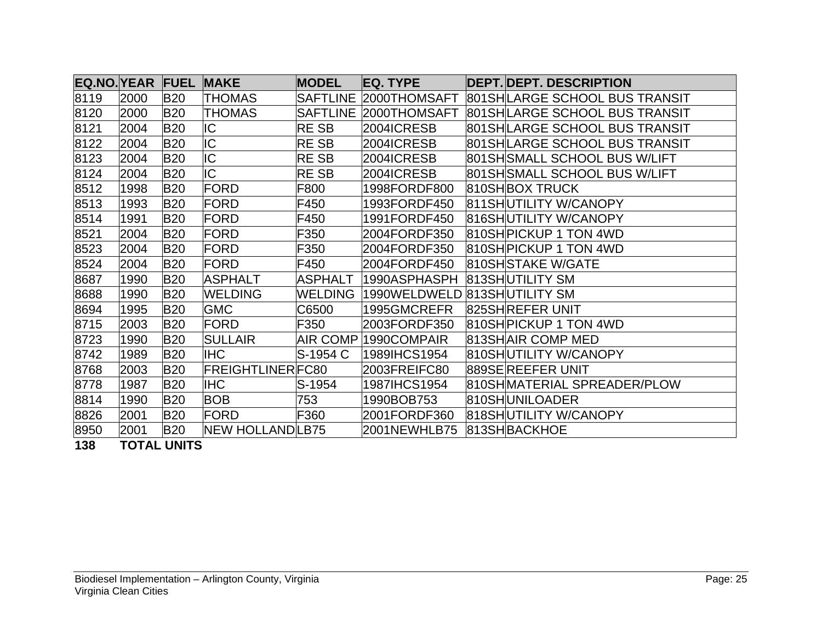| <b>EQ.NO. YEAR FUEL</b> |      |            | <b>MAKE</b>             | <b>MODEL</b>    | <b>IEQ. TYPE</b>             | <b>DEPT. DEPT. DESCRIPTION</b>  |
|-------------------------|------|------------|-------------------------|-----------------|------------------------------|---------------------------------|
| 8119                    | 2000 | <b>B20</b> | <b>THOMAS</b>           | <b>SAFTLINE</b> | 2000THOMSAFT                 | 801 SHILARGE SCHOOL BUS TRANSIT |
| 8120                    | 2000 | <b>B20</b> | <b>THOMAS</b>           | <b>SAFTLINE</b> | 2000THOMSAFT                 | 801 SHILARGE SCHOOL BUS TRANSIT |
| 8121                    | 2004 | <b>B20</b> | IC                      | <b>RESB</b>     | 2004ICRESB                   | 801SHLARGE SCHOOL BUS TRANSIT   |
| 8122                    | 2004 | <b>B20</b> | IC                      | <b>RESB</b>     | 2004ICRESB                   | 801 SHLARGE SCHOOL BUS TRANSIT  |
| 8123                    | 2004 | <b>B20</b> | IC                      | <b>RESB</b>     | 2004ICRESB                   | 801SH SMALL SCHOOL BUS W/LIFT   |
| 8124                    | 2004 | <b>B20</b> | IC                      | <b>RESB</b>     | 2004ICRESB                   | 801SH SMALL SCHOOL BUS W/LIFT   |
| 8512                    | 1998 | <b>B20</b> | FORD                    | F800            | 1998FORDF800                 | 810SHBOX TRUCK                  |
| 8513                    | 1993 | <b>B20</b> | FORD                    | F450            | 1993FORDF450                 | 811SHUTILITY W/CANOPY           |
| 8514                    | 1991 | <b>B20</b> | FORD                    | F450            | 1991FORDF450                 | 816SHUTILITY W/CANOPY           |
| 8521                    | 2004 | <b>B20</b> | FORD                    | F350            | 2004FORDF350                 | 810SH PICKUP 1 TON 4WD          |
| 8523                    | 2004 | <b>B20</b> | FORD                    | F350            | 2004FORDF350                 | 810SH PICKUP 1 TON 4WD          |
| 8524                    | 2004 | <b>B20</b> | FORD                    | F450            | 2004FORDF450                 | 810SHSTAKE W/GATE               |
| 8687                    | 1990 | <b>B20</b> | <b>ASPHALT</b>          | <b>ASPHALT</b>  | 1990ASPHASPH                 | 813SHUTILITY SM                 |
| 8688                    | 1990 | <b>B20</b> | <b>WELDING</b>          | <b>WELDING</b>  | 1990WELDWELD 813SHUTILITY SM |                                 |
| 8694                    | 1995 | <b>B20</b> | <b>GMC</b>              | C6500           | 1995GMCREFR                  | 825SHREFER UNIT                 |
| 8715                    | 2003 | <b>B20</b> | FORD                    | F350            | 2003FORDF350                 | 810SH PICKUP 1 TON 4WD          |
| 8723                    | 1990 | <b>B20</b> | <b>SULLAIR</b>          | <b>AIR COMP</b> | 1990COMPAIR                  | 813SHAIR COMP MED               |
| 8742                    | 1989 | <b>B20</b> | <b>IHC</b>              | S-1954 C        | 1989IHCS1954                 | 810SHUTILITY W/CANOPY           |
| 8768                    | 2003 | <b>B20</b> | <b>FREIGHTLINERFC80</b> |                 | 2003FREIFC80                 | 889SEREEFER UNIT                |
| 8778                    | 1987 | <b>B20</b> | <b>IHC</b>              | $S-1954$        | 1987IHCS1954                 | 810SHMATERIAL SPREADER/PLOW     |
| 8814                    | 1990 | <b>B20</b> | <b>BOB</b>              | 753             | 1990BOB753                   | 810SHUNILOADER                  |
| 8826                    | 2001 | <b>B20</b> | FORD                    | F360            | 2001FORDF360                 | 818SHUTILITY W/CANOPY           |
| 8950                    | 2001 | <b>B20</b> | NEW HOLLAND LB75        |                 | 2001NEWHLB75                 | 813SHBACKHOE                    |

**138 TOTAL UNITS**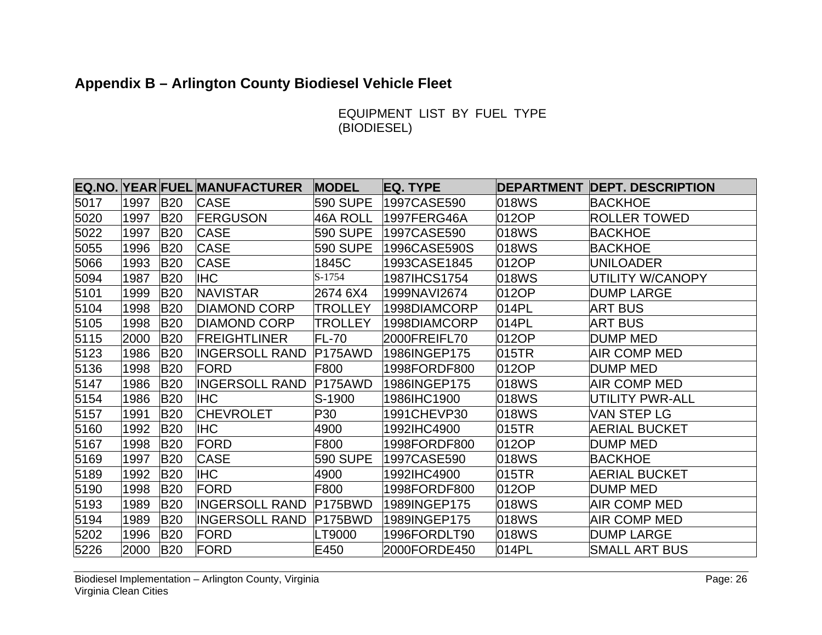# **Appendix B – Arlington County Biodiesel Vehicle Fleet**

EQUIPMENT LIST BY FUEL TYPE (BIODIESEL)

|      |      |            | <b>EQ.NO. YEAR FUEL MANUFACTURER</b> | <b>MODEL</b>    | EQ. TYPE     |       | <b>DEPARTMENT DEPT. DESCRIPTION</b> |
|------|------|------------|--------------------------------------|-----------------|--------------|-------|-------------------------------------|
| 5017 | 1997 | <b>B20</b> | <b>CASE</b>                          | 590 SUPE        | 1997CASE590  | 018WS | <b>BACKHOE</b>                      |
| 5020 | 1997 | <b>B20</b> | <b>FERGUSON</b>                      | <b>46A ROLL</b> | 1997FERG46A  | 012OP | <b>ROLLER TOWED</b>                 |
| 5022 | 1997 | <b>B20</b> | <b>CASE</b>                          | 590 SUPE        | 1997CASE590  | 018WS | <b>BACKHOE</b>                      |
| 5055 | 1996 | <b>B20</b> | <b>CASE</b>                          | <b>590 SUPE</b> | 1996CASE590S | 018WS | <b>BACKHOE</b>                      |
| 5066 | 1993 | <b>B20</b> | <b>CASE</b>                          | 1845C           | 1993CASE1845 | 012OP | UNILOADER                           |
| 5094 | 1987 | <b>B20</b> | <b>IHC</b>                           | S-1754          | 1987IHCS1754 | 018WS | UTILITY W/CANOPY                    |
| 5101 | 1999 | <b>B20</b> | <b>NAVISTAR</b>                      | 2674 6X4        | 1999NAVI2674 | 012OP | <b>DUMP LARGE</b>                   |
| 5104 | 1998 | <b>B20</b> | <b>DIAMOND CORP</b>                  | <b>TROLLEY</b>  | 1998DIAMCORP | 014PL | <b>ART BUS</b>                      |
| 5105 | 1998 | <b>B20</b> | <b>DIAMOND CORP</b>                  | <b>TROLLEY</b>  | 1998DIAMCORP | 014PL | <b>ART BUS</b>                      |
| 5115 | 2000 | <b>B20</b> | <b>FREIGHTLINER</b>                  | <b>FL-70</b>    | 2000FREIFL70 | 012OP | <b>DUMP MED</b>                     |
| 5123 | 1986 | <b>B20</b> | <b>INGERSOLL RAND</b>                | P175AWD         | 1986INGEP175 | 015TR | AIR COMP MED                        |
| 5136 | 1998 | <b>B20</b> | <b>FORD</b>                          | F800            | 1998FORDF800 | 012OP | <b>DUMP MED</b>                     |
| 5147 | 1986 | <b>B20</b> | <b>INGERSOLL RAND</b>                | P175AWD         | 1986INGEP175 | 018WS | <b>AIR COMP MED</b>                 |
| 5154 | 1986 | <b>B20</b> | <b>IHC</b>                           | S-1900          | 1986IHC1900  | 018WS | UTILITY PWR-ALL                     |
| 5157 | 1991 | <b>B20</b> | <b>CHEVROLET</b>                     | P30             | 1991CHEVP30  | 018WS | VAN STEP LG                         |
| 5160 | 1992 | <b>B20</b> | <b>IHC</b>                           | 4900            | 1992IHC4900  | 015TR | AERIAL BUCKET                       |
| 5167 | 1998 | <b>B20</b> | <b>FORD</b>                          | F800            | 1998FORDF800 | 012OP | <b>DUMP MED</b>                     |
| 5169 | 1997 | <b>B20</b> | <b>CASE</b>                          | <b>590 SUPE</b> | 1997CASE590  | 018WS | BACKHOE                             |
| 5189 | 1992 | <b>B20</b> | <b>IHC</b>                           | 4900            | 1992IHC4900  | 015TR | <b>AERIAL BUCKET</b>                |
| 5190 | 1998 | <b>B20</b> | <b>FORD</b>                          | F800            | 1998FORDF800 | 012OP | <b>DUMP MED</b>                     |
| 5193 | 1989 | <b>B20</b> | <b>INGERSOLL RAND</b>                | P175BWD         | 1989INGEP175 | 018WS | AIR COMP MED                        |
| 5194 | 1989 | <b>B20</b> | <b>INGERSOLL RAND</b>                | P175BWD         | 1989INGEP175 | 018WS | <b>AIR COMP MED</b>                 |
| 5202 | 1996 | <b>B20</b> | <b>FORD</b>                          | LT9000          | 1996FORDLT90 | 018WS | <b>DUMP LARGE</b>                   |
| 5226 | 2000 | <b>B20</b> | <b>FORD</b>                          | E450            | 2000FORDE450 | 014PL | <b>SMALL ART BUS</b>                |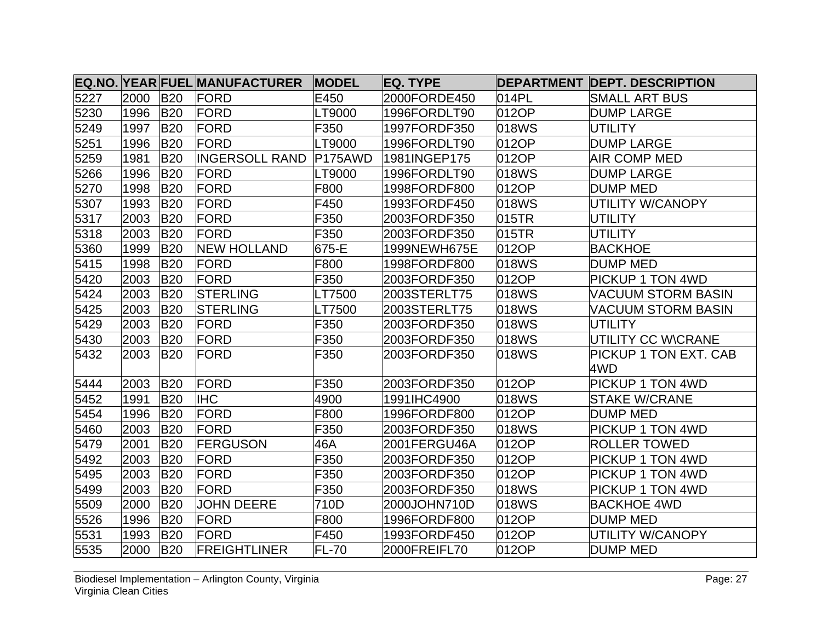|      |      |            | EQ.NO. YEAR FUEL MANUFACTURER | <b>MODEL</b>         | EQ. TYPE     |       | <b>DEPARTMENT DEPT. DESCRIPTION</b> |
|------|------|------------|-------------------------------|----------------------|--------------|-------|-------------------------------------|
| 5227 | 2000 | <b>B20</b> | FORD                          | E450                 | 2000FORDE450 | 014PL | <b>SMALL ART BUS</b>                |
| 5230 | 1996 | <b>B20</b> | FORD                          | LT9000               | 1996FORDLT90 | 012OP | <b>DUMP LARGE</b>                   |
| 5249 | 1997 | <b>B20</b> | FORD                          | F350                 | 1997FORDF350 | 018WS | <b>UTILITY</b>                      |
| 5251 | 1996 | <b>B20</b> | FORD                          | LT9000               | 1996FORDLT90 | 012OP | <b>DUMP LARGE</b>                   |
| 5259 | 1981 | <b>B20</b> | <b>IINGERSOLL RAND</b>        | P <sub>175</sub> AWD | 1981INGEP175 | 012OP | <b>AIR COMP MED</b>                 |
| 5266 | 1996 | <b>B20</b> | FORD                          | LT9000               | 1996FORDLT90 | 018WS | <b>DUMP LARGE</b>                   |
| 5270 | 1998 | <b>B20</b> | <b>FORD</b>                   | F800                 | 1998FORDF800 | 012OP | DUMP MED                            |
| 5307 | 1993 | <b>B20</b> | FORD                          | F450                 | 1993FORDF450 | 018WS | UTILITY W/CANOPY                    |
| 5317 | 2003 | <b>B20</b> | FORD                          | F350                 | 2003FORDF350 | 015TR | <b>UTILITY</b>                      |
| 5318 | 2003 | <b>B20</b> | FORD                          | F350                 | 2003FORDF350 | 015TR | <b>UTILITY</b>                      |
| 5360 | 1999 | <b>B20</b> | <b>NEW HOLLAND</b>            | 675-E                | 1999NEWH675E | 012OP | <b>BACKHOE</b>                      |
| 5415 | 1998 | <b>B20</b> | FORD                          | F800                 | 1998FORDF800 | 018WS | <b>DUMP MED</b>                     |
| 5420 | 2003 | <b>B20</b> | FORD                          | F350                 | 2003FORDF350 | 012OP | <b>PICKUP 1 TON 4WD</b>             |
| 5424 | 2003 | <b>B20</b> | <b>STERLING</b>               | LT7500               | 2003STERLT75 | 018WS | <b>VACUUM STORM BASIN</b>           |
| 5425 | 2003 | <b>B20</b> | <b>STERLING</b>               | LT7500               | 2003STERLT75 | 018WS | VACUUM STORM BASIN                  |
| 5429 | 2003 | <b>B20</b> | FORD                          | F350                 | 2003FORDF350 | 018WS | UTILITY                             |
| 5430 | 2003 | <b>B20</b> | FORD                          | F350                 | 2003FORDF350 | 018WS | UTILITY CC W\CRANE                  |
| 5432 | 2003 | <b>B20</b> | <b>FORD</b>                   | F350                 | 2003FORDF350 | 018WS | <b>PICKUP 1 TON EXT. CAB</b><br>4WD |
| 5444 | 2003 | <b>B20</b> | FORD                          | F350                 | 2003FORDF350 | 012OP | <b>PICKUP 1 TON 4WD</b>             |
| 5452 | 1991 | <b>B20</b> | <b>IHC</b>                    | 4900                 | 1991IHC4900  | 018WS | <b>STAKE W/CRANE</b>                |
| 5454 | 1996 | <b>B20</b> | FORD                          | F800                 | 1996FORDF800 | 012OP | <b>DUMP MED</b>                     |
| 5460 | 2003 | <b>B20</b> | <b>FORD</b>                   | F350                 | 2003FORDF350 | 018WS | <b>PICKUP 1 TON 4WD</b>             |
| 5479 | 2001 | <b>B20</b> | <b>FERGUSON</b>               | 46A                  | 2001FERGU46A | 012OP | <b>ROLLER TOWED</b>                 |
| 5492 | 2003 | <b>B20</b> | FORD                          | F350                 | 2003FORDF350 | 012OP | <b>PICKUP 1 TON 4WD</b>             |
| 5495 | 2003 | <b>B20</b> | FORD                          | F350                 | 2003FORDF350 | 012OP | <b>PICKUP 1 TON 4WD</b>             |
| 5499 | 2003 | <b>B20</b> | FORD                          | F350                 | 2003FORDF350 | 018WS | <b>PICKUP 1 TON 4WD</b>             |
| 5509 | 2000 | <b>B20</b> | <b>JOHN DEERE</b>             | 710D                 | 2000JOHN710D | 018WS | <b>BACKHOE 4WD</b>                  |
| 5526 | 1996 | <b>B20</b> | <b>FORD</b>                   | F800                 | 1996FORDF800 | 012OP | <b>DUMP MED</b>                     |
| 5531 | 1993 | <b>B20</b> | FORD                          | F450                 | 1993FORDF450 | 012OP | UTILITY W/CANOPY                    |
| 5535 | 2000 | <b>B20</b> | <b>FREIGHTLINER</b>           | <b>FL-70</b>         | 2000FREIFL70 | 012OP | <b>DUMP MED</b>                     |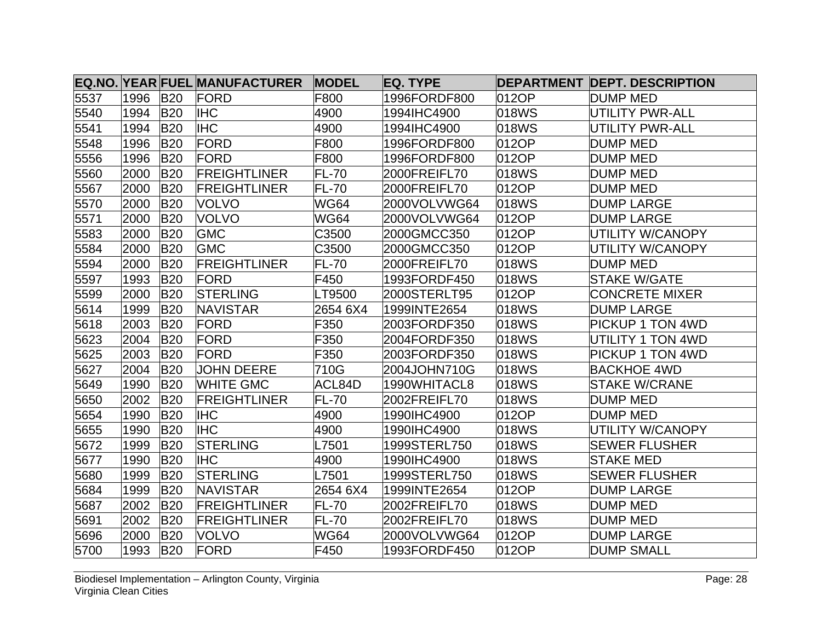|      |      |            | <b>EQ.NO. YEAR FUEL MANUFACTURER</b> | <b>MODEL</b> | <b>EQ. TYPE</b> |       | <b>DEPARTMENT DEPT. DESCRIPTION</b> |
|------|------|------------|--------------------------------------|--------------|-----------------|-------|-------------------------------------|
| 5537 | 1996 | <b>B20</b> | <b>FORD</b>                          | F800         | 1996FORDF800    | 012OP | DUMP MED                            |
| 5540 | 1994 | <b>B20</b> | <b>IHC</b>                           | 4900         | 1994IHC4900     | 018WS | <b>UTILITY PWR-ALL</b>              |
| 5541 | 1994 | <b>B20</b> | <b>IHC</b>                           | 4900         | 1994IHC4900     | 018WS | UTILITY PWR-ALL                     |
| 5548 | 1996 | <b>B20</b> | FORD                                 | F800         | 1996FORDF800    | 012OP | <b>DUMP MED</b>                     |
| 5556 | 1996 | <b>B20</b> | <b>FORD</b>                          | F800         | 1996FORDF800    | 012OP | <b>DUMP MED</b>                     |
| 5560 | 2000 | <b>B20</b> | <b>FREIGHTLINER</b>                  | <b>FL-70</b> | 2000FREIFL70    | 018WS | <b>DUMP MED</b>                     |
| 5567 | 2000 | <b>B20</b> | <b>FREIGHTLINER</b>                  | <b>FL-70</b> | 2000FREIFL70    | 012OP | <b>DUMP MED</b>                     |
| 5570 | 2000 | <b>B20</b> | <b>VOLVO</b>                         | <b>WG64</b>  | 2000VOLVWG64    | 018WS | <b>DUMP LARGE</b>                   |
| 5571 | 2000 | <b>B20</b> | <b>VOLVO</b>                         | <b>WG64</b>  | 2000VOLVWG64    | 012OP | <b>DUMP LARGE</b>                   |
| 5583 | 2000 | <b>B20</b> | <b>GMC</b>                           | C3500        | 2000GMCC350     | 012OP | UTILITY W/CANOPY                    |
| 5584 | 2000 | <b>B20</b> | <b>GMC</b>                           | C3500        | 2000GMCC350     | 012OP | UTILITY W/CANOPY                    |
| 5594 | 2000 | <b>B20</b> | <b>FREIGHTLINER</b>                  | <b>FL-70</b> | 2000FREIFL70    | 018WS | <b>DUMP MED</b>                     |
| 5597 | 1993 | <b>B20</b> | FORD                                 | F450         | 1993FORDF450    | 018WS | <b>STAKE W/GATE</b>                 |
| 5599 | 2000 | <b>B20</b> | <b>STERLING</b>                      | LT9500       | 2000STERLT95    | 012OP | <b>CONCRETE MIXER</b>               |
| 5614 | 1999 | <b>B20</b> | <b>NAVISTAR</b>                      | 2654 6X4     | 1999INTE2654    | 018WS | <b>DUMP LARGE</b>                   |
| 5618 | 2003 | <b>B20</b> | FORD                                 | F350         | 2003FORDF350    | 018WS | PICKUP 1 TON 4WD                    |
| 5623 | 2004 | <b>B20</b> | FORD                                 | F350         | 2004FORDF350    | 018WS | UTILITY 1 TON 4WD                   |
| 5625 | 2003 | <b>B20</b> | <b>FORD</b>                          | F350         | 2003FORDF350    | 018WS | <b>PICKUP 1 TON 4WD</b>             |
| 5627 | 2004 | <b>B20</b> | <b>JOHN DEERE</b>                    | 710G         | 2004JOHN710G    | 018WS | <b>BACKHOE 4WD</b>                  |
| 5649 | 1990 | <b>B20</b> | <b>WHITE GMC</b>                     | ACL84D       | 1990WHITACL8    | 018WS | <b>STAKE W/CRANE</b>                |
| 5650 | 2002 | <b>B20</b> | <b>FREIGHTLINER</b>                  | <b>FL-70</b> | 2002FREIFL70    | 018WS | <b>DUMP MED</b>                     |
| 5654 | 1990 | <b>B20</b> | <b>IHC</b>                           | 4900         | 1990IHC4900     | 012OP | <b>DUMP MED</b>                     |
| 5655 | 1990 | <b>B20</b> | <b>IHC</b>                           | 4900         | 1990IHC4900     | 018WS | UTILITY W/CANOPY                    |
| 5672 | 1999 | <b>B20</b> | <b>STERLING</b>                      | L7501        | 1999STERL750    | 018WS | <b>SEWER FLUSHER</b>                |
| 5677 | 1990 | <b>B20</b> | IIHC                                 | 4900         | 1990IHC4900     | 018WS | <b>STAKE MED</b>                    |
| 5680 | 1999 | <b>B20</b> | <b>STERLING</b>                      | L7501        | 1999STERL750    | 018WS | <b>SEWER FLUSHER</b>                |
| 5684 | 1999 | <b>B20</b> | <b>NAVISTAR</b>                      | 2654 6X4     | 1999INTE2654    | 012OP | <b>DUMP LARGE</b>                   |
| 5687 | 2002 | <b>B20</b> | <b>FREIGHTLINER</b>                  | <b>FL-70</b> | 2002FREIFL70    | 018WS | <b>DUMP MED</b>                     |
| 5691 | 2002 | <b>B20</b> | <b>FREIGHTLINER</b>                  | <b>FL-70</b> | 2002FREIFL70    | 018WS | <b>DUMP MED</b>                     |
| 5696 | 2000 | <b>B20</b> | <b>VOLVO</b>                         | <b>WG64</b>  | 2000VOLVWG64    | 012OP | <b>DUMP LARGE</b>                   |
| 5700 | 1993 | <b>B20</b> | FORD                                 | F450         | 1993FORDF450    | 012OP | <b>DUMP SMALL</b>                   |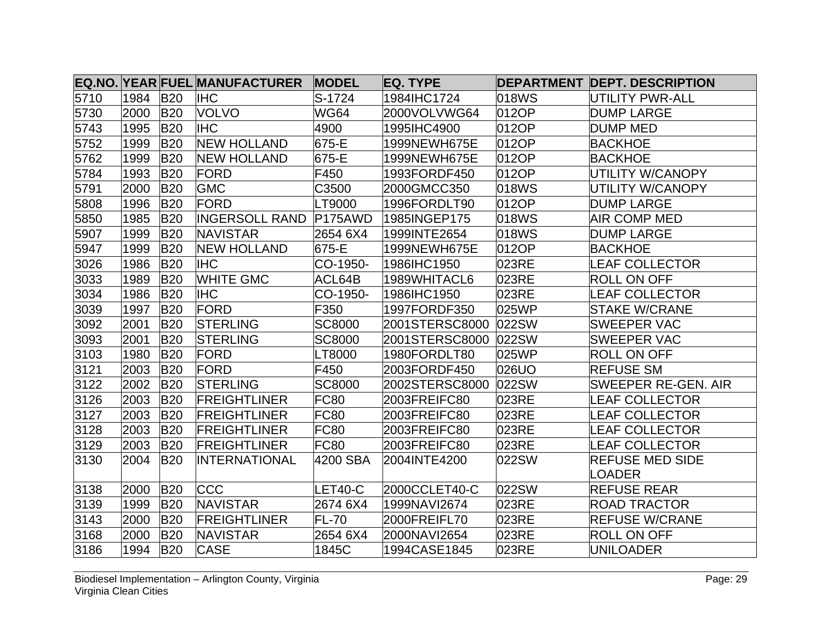|      |      |            | <b>EQ.NO. YEAR FUEL MANUFACTURER</b> | <b>MODEL</b>  | EQ. TYPE       |       | <b>DEPARTMENT DEPT. DESCRIPTION</b> |
|------|------|------------|--------------------------------------|---------------|----------------|-------|-------------------------------------|
| 5710 | 1984 | <b>B20</b> | <b>IHC</b>                           | S-1724        | 1984IHC1724    | 018WS | <b>UTILITY PWR-ALL</b>              |
| 5730 | 2000 | <b>B20</b> | <b>VOLVO</b>                         | <b>WG64</b>   | 2000VOLVWG64   | 012OP | <b>DUMP LARGE</b>                   |
| 5743 | 1995 | <b>B20</b> | <b>IHC</b>                           | 4900          | 1995IHC4900    | 012OP | DUMP MED                            |
| 5752 | 1999 | <b>B20</b> | <b>NEW HOLLAND</b>                   | 675-E         | 1999NEWH675E   | 012OP | <b>BACKHOE</b>                      |
| 5762 | 1999 | <b>B20</b> | <b>NEW HOLLAND</b>                   | 675-E         | 1999NEWH675E   | 012OP | <b>BACKHOE</b>                      |
| 5784 | 1993 | <b>B20</b> | FORD                                 | F450          | 1993FORDF450   | 012OP | UTILITY W/CANOPY                    |
| 5791 | 2000 | <b>B20</b> | <b>GMC</b>                           | C3500         | 2000GMCC350    | 018WS | UTILITY W/CANOPY                    |
| 5808 | 1996 | <b>B20</b> | <b>FORD</b>                          | LT9000        | 1996FORDLT90   | 012OP | <b>DUMP LARGE</b>                   |
| 5850 | 1985 | <b>B20</b> | <b>INGERSOLL RAND P175AWD</b>        |               | 1985INGEP175   | 018WS | <b>AIR COMP MED</b>                 |
| 5907 | 1999 | <b>B20</b> | <b>NAVISTAR</b>                      | 2654 6X4      | 1999INTE2654   | 018WS | <b>DUMP LARGE</b>                   |
| 5947 | 1999 | <b>B20</b> | <b>NEW HOLLAND</b>                   | 675-E         | 1999NEWH675E   | 012OP | <b>BACKHOE</b>                      |
| 3026 | 1986 | <b>B20</b> | <b>IHC</b>                           | CO-1950-      | 1986IHC1950    | 023RE | LEAF COLLECTOR                      |
| 3033 | 1989 | <b>B20</b> | <b>WHITE GMC</b>                     | ACL64B        | 1989WHITACL6   | 023RE | <b>ROLL ON OFF</b>                  |
| 3034 | 1986 | <b>B20</b> | <b>IHC</b>                           | CO-1950-      | 1986IHC1950    | 023RE | <b>LEAF COLLECTOR</b>               |
| 3039 | 1997 | <b>B20</b> | <b>FORD</b>                          | F350          | 1997FORDF350   | 025WP | <b>STAKE W/CRANE</b>                |
| 3092 | 2001 | <b>B20</b> | <b>STERLING</b>                      | <b>SC8000</b> | 2001STERSC8000 | 022SW | <b>SWEEPER VAC</b>                  |
| 3093 | 2001 | <b>B20</b> | <b>STERLING</b>                      | <b>SC8000</b> | 2001STERSC8000 | 022SW | <b>SWEEPER VAC</b>                  |
| 3103 | 1980 | <b>B20</b> | <b>FORD</b>                          | LT8000        | 1980FORDLT80   | 025WP | <b>ROLL ON OFF</b>                  |
| 3121 | 2003 | <b>B20</b> | <b>FORD</b>                          | F450          | 2003FORDF450   | 026UO | <b>REFUSE SM</b>                    |
| 3122 | 2002 | <b>B20</b> | <b>STERLING</b>                      | <b>SC8000</b> | 2002STERSC8000 | 022SW | SWEEPER RE-GEN. AIR                 |
| 3126 | 2003 | <b>B20</b> | <b>FREIGHTLINER</b>                  | <b>FC80</b>   | 2003FREIFC80   | 023RE | <b>LEAF COLLECTOR</b>               |
| 3127 | 2003 | <b>B20</b> | <b>FREIGHTLINER</b>                  | <b>FC80</b>   | 2003FREIFC80   | 023RE | <b>LEAF COLLECTOR</b>               |
| 3128 | 2003 | <b>B20</b> | <b>FREIGHTLINER</b>                  | FC80          | 2003FREIFC80   | 023RE | LEAF COLLECTOR                      |
| 3129 | 2003 | <b>B20</b> | <b>FREIGHTLINER</b>                  | <b>FC80</b>   | 2003FREIFC80   | 023RE | <b>LEAF COLLECTOR</b>               |
| 3130 | 2004 | <b>B20</b> | <b>INTERNATIONAL</b>                 | 4200 SBA      | 2004INTE4200   | 022SW | <b>REFUSE MED SIDE</b>              |
|      |      |            |                                      |               |                |       | <b>LOADER</b>                       |
| 3138 | 2000 | <b>B20</b> | <b>CCC</b>                           | LET40-C       | 2000CCLET40-C  | 022SW | <b>REFUSE REAR</b>                  |
| 3139 | 1999 | <b>B20</b> | <b>NAVISTAR</b>                      | 2674 6X4      | 1999NAVI2674   | 023RE | <b>ROAD TRACTOR</b>                 |
| 3143 | 2000 | <b>B20</b> | <b>FREIGHTLINER</b>                  | <b>FL-70</b>  | 2000FREIFL70   | 023RE | <b>REFUSE W/CRANE</b>               |
| 3168 | 2000 | <b>B20</b> | <b>NAVISTAR</b>                      | 2654 6X4      | 2000NAVI2654   | 023RE | <b>ROLL ON OFF</b>                  |
| 3186 | 1994 | <b>B20</b> | <b>CASE</b>                          | 1845C         | 1994CASE1845   | 023RE | <b>UNILOADER</b>                    |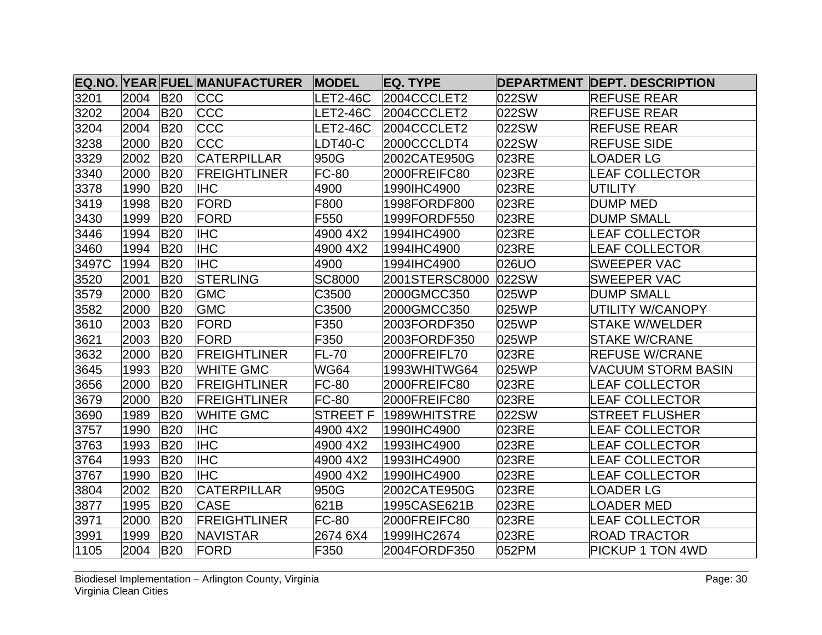|       |      |            | EQ.NO. YEAR FUEL MANUFACTURER | <b>MODEL</b>    | <b>EQ. TYPE</b> |       | <b>DEPARTMENT DEPT. DESCRIPTION</b> |
|-------|------|------------|-------------------------------|-----------------|-----------------|-------|-------------------------------------|
| 3201  | 2004 | <b>B20</b> | <b>CCC</b>                    | LET2-46C        | 2004CCCLET2     | 022SW | <b>REFUSE REAR</b>                  |
| 3202  | 2004 | <b>B20</b> | <b>CCC</b>                    | LET2-46C        | 2004CCCLET2     | 022SW | <b>REFUSE REAR</b>                  |
| 3204  | 2004 | <b>B20</b> | <b>CCC</b>                    | <b>LET2-46C</b> | 2004CCCLET2     | 022SW | <b>REFUSE REAR</b>                  |
| 3238  | 2000 | <b>B20</b> | <b>CCC</b>                    | LDT40-C         | 2000CCCLDT4     | 022SW | <b>REFUSE SIDE</b>                  |
| 3329  | 2002 | <b>B20</b> | <b>CATERPILLAR</b>            | 950G            | 2002CATE950G    | 023RE | <b>LOADER LG</b>                    |
| 3340  | 2000 | <b>B20</b> | <b>FREIGHTLINER</b>           | <b>FC-80</b>    | 2000FREIFC80    | 023RE | <b>LEAF COLLECTOR</b>               |
| 3378  | 1990 | <b>B20</b> | <b>IHC</b>                    | 4900            | 1990IHC4900     | 023RE | <b>UTILITY</b>                      |
| 3419  | 1998 | <b>B20</b> | <b>FORD</b>                   | F800            | 1998FORDF800    | 023RE | <b>DUMP MED</b>                     |
| 3430  | 1999 | <b>B20</b> | <b>FORD</b>                   | F550            | 1999FORDF550    | 023RE | <b>DUMP SMALL</b>                   |
| 3446  | 1994 | <b>B20</b> | <b>IHC</b>                    | 4900 4X2        | 1994IHC4900     | 023RE | <b>LEAF COLLECTOR</b>               |
| 3460  | 1994 | <b>B20</b> | <b>IHC</b>                    | 4900 4X2        | 1994IHC4900     | 023RE | <b>LEAF COLLECTOR</b>               |
| 3497C | 1994 | <b>B20</b> | <b>IHC</b>                    | 4900            | 1994IHC4900     | 026UO | <b>SWEEPER VAC</b>                  |
| 3520  | 2001 | <b>B20</b> | <b>STERLING</b>               | SC8000          | 2001STERSC8000  | 022SW | SWEEPER VAC                         |
| 3579  | 2000 | <b>B20</b> | <b>GMC</b>                    | C3500           | 2000GMCC350     | 025WP | <b>DUMP SMALL</b>                   |
| 3582  | 2000 | <b>B20</b> | <b>GMC</b>                    | C3500           | 2000GMCC350     | 025WP | UTILITY W/CANOPY                    |
| 3610  | 2003 | <b>B20</b> | FORD                          | F350            | 2003FORDF350    | 025WP | <b>STAKE W/WELDER</b>               |
| 3621  | 2003 | <b>B20</b> | <b>FORD</b>                   | F350            | 2003FORDF350    | 025WP | <b>STAKE W/CRANE</b>                |
| 3632  | 2000 | <b>B20</b> | <b>FREIGHTLINER</b>           | <b>FL-70</b>    | 2000FREIFL70    | 023RE | <b>REFUSE W/CRANE</b>               |
| 3645  | 1993 | <b>B20</b> | <b>WHITE GMC</b>              | WG64            | 1993WHITWG64    | 025WP | VACUUM STORM BASIN                  |
| 3656  | 2000 | <b>B20</b> | <b>FREIGHTLINER</b>           | <b>FC-80</b>    | 2000FREIFC80    | 023RE | LEAF COLLECTOR                      |
| 3679  | 2000 | <b>B20</b> | <b>FREIGHTLINER</b>           | <b>FC-80</b>    | 2000FREIFC80    | 023RE | <b>LEAF COLLECTOR</b>               |
| 3690  | 1989 | <b>B20</b> | <b>WHITE GMC</b>              | <b>STREET F</b> | 1989WHITSTRE    | 022SW | <b>STREET FLUSHER</b>               |
| 3757  | 1990 | <b>B20</b> | <b>IHC</b>                    | 4900 4X2        | 1990IHC4900     | 023RE | LEAF COLLECTOR                      |
| 3763  | 1993 | <b>B20</b> | <b>IHC</b>                    | 4900 4X2        | 1993IHC4900     | 023RE | LEAF COLLECTOR                      |
| 3764  | 1993 | <b>B20</b> | IHC                           | 4900 4X2        | 1993IHC4900     | 023RE | <b>LEAF COLLECTOR</b>               |
| 3767  | 1990 | <b>B20</b> | <b>IHC</b>                    | 4900 4X2        | 1990IHC4900     | 023RE | <b>LEAF COLLECTOR</b>               |
| 3804  | 2002 | <b>B20</b> | <b>CATERPILLAR</b>            | 950G            | 2002CATE950G    | 023RE | OADER LG                            |
| 3877  | 1995 | <b>B20</b> | <b>CASE</b>                   | 621B            | 1995CASE621B    | 023RE | OADER MED                           |
| 3971  | 2000 | <b>B20</b> | <b>FREIGHTLINER</b>           | <b>FC-80</b>    | 2000FREIFC80    | 023RE | <b>LEAF COLLECTOR</b>               |
| 3991  | 1999 | <b>B20</b> | <b>NAVISTAR</b>               | 2674 6X4        | 1999IHC2674     | 023RE | <b>ROAD TRACTOR</b>                 |
| 1105  | 2004 | <b>B20</b> | FORD                          | F350            | 2004FORDF350    | 052PM | <b>PICKUP 1 TON 4WD</b>             |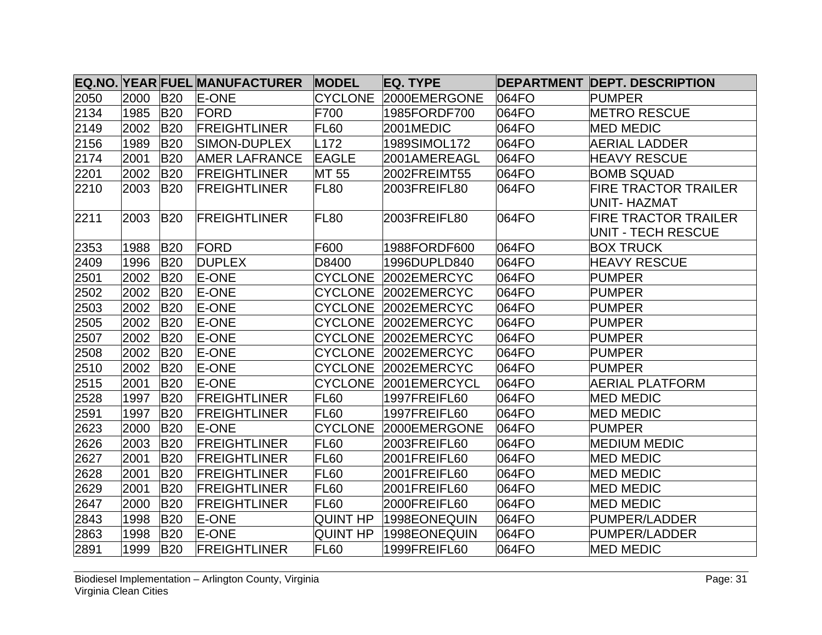|      |      |            | EQ.NO. YEAR FUEL MANUFACTURER | <b>MODEL</b>     | EQ. TYPE             |       | <b>DEPARTMENT DEPT. DESCRIPTION</b>               |
|------|------|------------|-------------------------------|------------------|----------------------|-------|---------------------------------------------------|
| 2050 | 2000 | <b>B20</b> | <b>E-ONE</b>                  | <b>CYCLONE</b>   | 2000EMERGONE         | 064FO | <b>PUMPER</b>                                     |
| 2134 | 1985 | <b>B20</b> | <b>FORD</b>                   | F700             | 1985FORDF700         | 064FO | <b>METRO RESCUE</b>                               |
| 2149 | 2002 | <b>B20</b> | <b>FREIGHTLINER</b>           | FL <sub>60</sub> | 2001MEDIC            | 064FO | <b>MED MEDIC</b>                                  |
| 2156 | 1989 | <b>B20</b> | SIMON-DUPLEX                  | L172             | 1989SIMOL172         | 064FO | <b>AERIAL LADDER</b>                              |
| 2174 | 2001 | <b>B20</b> | <b>AMER LAFRANCE</b>          | <b>EAGLE</b>     | 2001AMEREAGL         | 064FO | <b>HEAVY RESCUE</b>                               |
| 2201 | 2002 | <b>B20</b> | <b>FREIGHTLINER</b>           | MT 55            | 2002FREIMT55         | 064FO | <b>BOMB SQUAD</b>                                 |
| 2210 | 2003 | <b>B20</b> | <b>FREIGHTLINER</b>           | FL80             | 2003FREIFL80         | 064FO | <b>FIRE TRACTOR TRAILER</b><br>UNIT- HAZMAT       |
| 2211 | 2003 | <b>B20</b> | <b>FREIGHTLINER</b>           | FL <sub>80</sub> | 2003FREIFL80         | 064FO | <b>FIRE TRACTOR TRAILER</b><br>UNIT - TECH RESCUE |
| 2353 | 1988 | <b>B20</b> | FORD                          | F600             | 1988FORDF600         | 064FO | <b>BOX TRUCK</b>                                  |
| 2409 | 1996 | <b>B20</b> | <b>DUPLEX</b>                 | D8400            | 1996DUPLD840         | 064FO | <b>HEAVY RESCUE</b>                               |
| 2501 | 2002 | <b>B20</b> | <b>E-ONE</b>                  | <b>CYCLONE</b>   | 2002EMERCYC          | 064FO | <b>PUMPER</b>                                     |
| 2502 | 2002 | <b>B20</b> | E-ONE                         |                  | CYCLONE 2002EMERCYC  | 064FO | <b>PUMPER</b>                                     |
| 2503 | 2002 | <b>B20</b> | <b>E-ONE</b>                  |                  | CYCLONE 2002EMERCYC  | 064FO | <b>PUMPER</b>                                     |
| 2505 | 2002 | <b>B20</b> | E-ONE                         |                  | CYCLONE 2002EMERCYC  | 064FO | <b>PUMPER</b>                                     |
| 2507 | 2002 | <b>B20</b> | E-ONE                         |                  | CYCLONE 2002EMERCYC  | 064FO | <b>PUMPER</b>                                     |
| 2508 | 2002 | <b>B20</b> | E-ONE                         |                  | CYCLONE 2002EMERCYC  | 064FO | <b>PUMPER</b>                                     |
| 2510 | 2002 | <b>B20</b> | E-ONE                         |                  | CYCLONE 2002EMERCYC  | 064FO | <b>PUMPER</b>                                     |
| 2515 | 2001 | <b>B20</b> | E-ONE                         |                  | CYCLONE 2001EMERCYCL | 064FO | <b>AERIAL PLATFORM</b>                            |
| 2528 | 1997 | <b>B20</b> | <b>FREIGHTLINER</b>           | <b>FL60</b>      | 1997FREIFL60         | 064FO | <b>MED MEDIC</b>                                  |
| 2591 | 1997 | <b>B20</b> | <b>FREIGHTLINER</b>           | FL <sub>60</sub> | 1997FREIFL60         | 064FO | <b>MED MEDIC</b>                                  |
| 2623 | 2000 | <b>B20</b> | <b>E-ONE</b>                  |                  | CYCLONE 2000EMERGONE | 064FO | <b>PUMPER</b>                                     |
| 2626 | 2003 | <b>B20</b> | <b>FREIGHTLINER</b>           | <b>FL60</b>      | 2003FREIFL60         | 064FO | <b>MEDIUM MEDIC</b>                               |
| 2627 | 2001 | <b>B20</b> | <b>FREIGHTLINER</b>           | <b>FL60</b>      | 2001FREIFL60         | 064FO | <b>MED MEDIC</b>                                  |
| 2628 | 2001 | <b>B20</b> | <b>FREIGHTLINER</b>           | FL <sub>60</sub> | 2001FREIFL60         | 064FO | <b>MED MEDIC</b>                                  |
| 2629 | 2001 | <b>B20</b> | <b>FREIGHTLINER</b>           | FL <sub>60</sub> | 2001FREIFL60         | 064FO | <b>MED MEDIC</b>                                  |
| 2647 | 2000 | <b>B20</b> | <b>FREIGHTLINER</b>           | FL60             | 2000FREIFL60         | 064FO | <b>MED MEDIC</b>                                  |
| 2843 | 1998 | <b>B20</b> | E-ONE                         | <b>QUINT HP</b>  | 1998EONEQUIN         | 064FO | <b>PUMPER/LADDER</b>                              |
| 2863 | 1998 | <b>B20</b> | <b>E-ONE</b>                  | <b>QUINT HP</b>  | 1998EONEQUIN         | 064FO | <b>PUMPER/LADDER</b>                              |
| 2891 | 1999 | <b>B20</b> | <b>FREIGHTLINER</b>           | FL <sub>60</sub> | 1999FREIFL60         | 064FO | <b>MED MEDIC</b>                                  |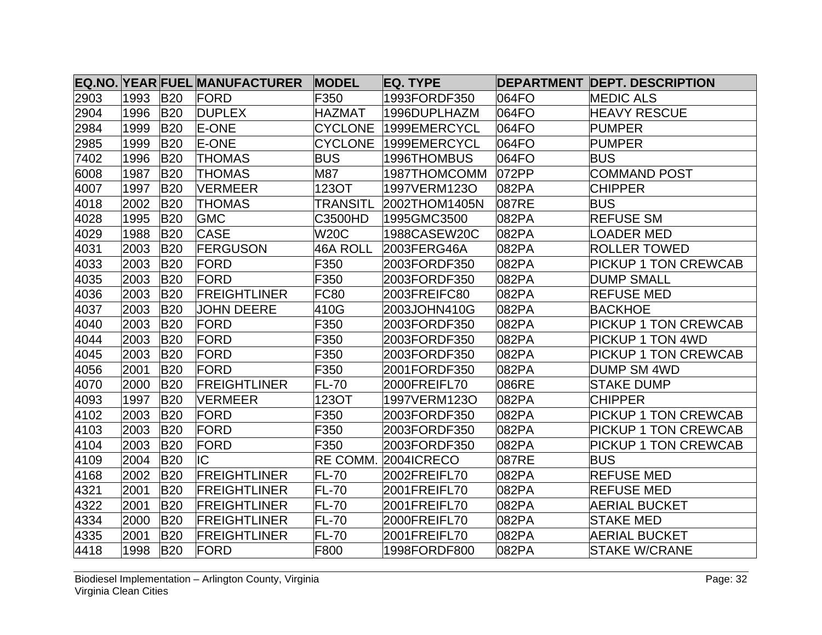|      |      |            | <b>EQ.NO. YEAR FUEL MANUFACTURER</b> | <b>MODEL</b>    | EQ. TYPE      |       | <b>DEPARTMENT DEPT. DESCRIPTION</b> |
|------|------|------------|--------------------------------------|-----------------|---------------|-------|-------------------------------------|
| 2903 | 1993 | <b>B20</b> | <b>FORD</b>                          | F350            | 1993FORDF350  | 064FO | <b>MEDIC ALS</b>                    |
| 2904 | 1996 | <b>B20</b> | <b>DUPLEX</b>                        | <b>HAZMAT</b>   | 1996DUPLHAZM  | 064FO | <b>HEAVY RESCUE</b>                 |
| 2984 | 1999 | <b>B20</b> | <b>E-ONE</b>                         | <b>CYCLONE</b>  | 1999EMERCYCL  | 064FO | <b>PUMPER</b>                       |
| 2985 | 1999 | <b>B20</b> | <b>E-ONE</b>                         | <b>CYCLONE</b>  | 1999EMERCYCL  | 064FO | <b>PUMPER</b>                       |
| 7402 | 1996 | <b>B20</b> | <b>THOMAS</b>                        | <b>BUS</b>      | 1996THOMBUS   | 064FO | <b>BUS</b>                          |
| 6008 | 1987 | <b>B20</b> | <b>THOMAS</b>                        | M87             | 1987THOMCOMM  | 072PP | COMMAND POST                        |
| 4007 | 1997 | <b>B20</b> | <b>NERMEER</b>                       | 1230T           | 1997VERM123O  | 082PA | <b>CHIPPER</b>                      |
| 4018 | 2002 | <b>B20</b> | <b>THOMAS</b>                        | <b>TRANSITL</b> | 2002THOM1405N | 087RE | <b>BUS</b>                          |
| 4028 | 1995 | <b>B20</b> | <b>GMC</b>                           | C3500HD         | 1995GMC3500   | 082PA | <b>REFUSE SM</b>                    |
| 4029 | 1988 | <b>B20</b> | <b>CASE</b>                          | <b>W20C</b>     | 1988CASEW20C  | 082PA | OADER MED                           |
| 4031 | 2003 | <b>B20</b> | <b>FERGUSON</b>                      | 46A ROLL        | 2003FERG46A   | 082PA | <b>ROLLER TOWED</b>                 |
| 4033 | 2003 | <b>B20</b> | FORD                                 | F350            | 2003FORDF350  | 082PA | <b>PICKUP 1 TON CREWCAB</b>         |
| 4035 | 2003 | <b>B20</b> | FORD                                 | F350            | 2003FORDF350  | 082PA | <b>DUMP SMALL</b>                   |
| 4036 | 2003 | <b>B20</b> | <b>FREIGHTLINER</b>                  | <b>FC80</b>     | 2003FREIFC80  | 082PA | <b>REFUSE MED</b>                   |
| 4037 | 2003 | <b>B20</b> | <b>JOHN DEERE</b>                    | 410G            | 2003JOHN410G  | 082PA | <b>BACKHOE</b>                      |
| 4040 | 2003 | <b>B20</b> | <b>FORD</b>                          | F350            | 2003FORDF350  | 082PA | <b>PICKUP 1 TON CREWCAB</b>         |
| 4044 | 2003 | <b>B20</b> | <b>FORD</b>                          | F350            | 2003FORDF350  | 082PA | <b>PICKUP 1 TON 4WD</b>             |
| 4045 | 2003 | <b>B20</b> | <b>FORD</b>                          | F350            | 2003FORDF350  | 082PA | <b>PICKUP 1 TON CREWCAB</b>         |
| 4056 | 2001 | <b>B20</b> | <b>FORD</b>                          | F350            | 2001FORDF350  | 082PA | <b>DUMP SM 4WD</b>                  |
| 4070 | 2000 | <b>B20</b> | <b>FREIGHTLINER</b>                  | FL-70           | 2000FREIFL70  | 086RE | <b>STAKE DUMP</b>                   |
| 4093 | 1997 | <b>B20</b> | <b>VERMEER</b>                       | 123OT           | 1997VERM123O  | 082PA | <b>CHIPPER</b>                      |
| 4102 | 2003 | <b>B20</b> | <b>FORD</b>                          | F350            | 2003FORDF350  | 082PA | <b>PICKUP 1 TON CREWCAB</b>         |
| 4103 | 2003 | <b>B20</b> | <b>FORD</b>                          | F350            | 2003FORDF350  | 082PA | <b>PICKUP 1 TON CREWCAB</b>         |
| 4104 | 2003 | <b>B20</b> | FORD                                 | F350            | 2003FORDF350  | 082PA | <b>PICKUP 1 TON CREWCAB</b>         |
| 4109 | 2004 | <b>B20</b> | IC                                   | RE COMM.        | 2004 CRECO    | 087RE | BUS.                                |
| 4168 | 2002 | <b>B20</b> | <b>FREIGHTLINER</b>                  | <b>FL-70</b>    | 2002FREIFL70  | 082PA | <b>REFUSE MED</b>                   |
| 4321 | 2001 | <b>B20</b> | <b>FREIGHTLINER</b>                  | <b>FL-70</b>    | 2001FREIFL70  | 082PA | <b>REFUSE MED</b>                   |
| 4322 | 2001 | <b>B20</b> | <b>FREIGHTLINER</b>                  | <b>FL-70</b>    | 2001FREIFL70  | 082PA | <b>AERIAL BUCKET</b>                |
| 4334 | 2000 | <b>B20</b> | <b>FREIGHTLINER</b>                  | $FL-70$         | 2000FREIFL70  | 082PA | <b>STAKE MED</b>                    |
| 4335 | 2001 | <b>B20</b> | <b>FREIGHTLINER</b>                  | <b>FL-70</b>    | 2001FREIFL70  | 082PA | <b>AERIAL BUCKET</b>                |
| 4418 | 1998 | <b>B20</b> | <b>FORD</b>                          | F800            | 1998FORDF800  | 082PA | <b>STAKE W/CRANE</b>                |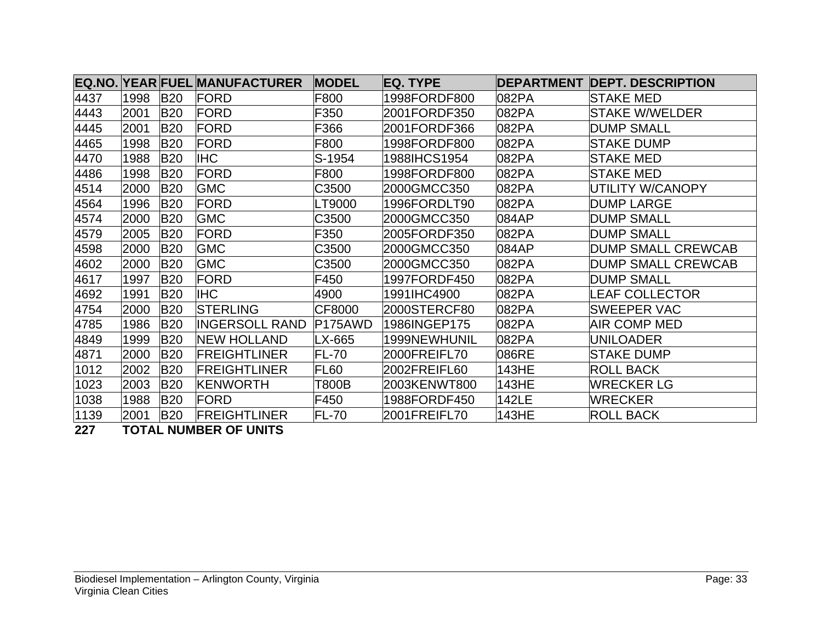|      |      |            | <b>EQ.NO. YEAR FUEL MANUFACTURER</b> | <b>MODEL</b> | <b>IEQ. TYPE</b> |       | <b>DEPARTMENT DEPT. DESCRIPTION</b> |
|------|------|------------|--------------------------------------|--------------|------------------|-------|-------------------------------------|
| 4437 | 1998 | <b>B20</b> | <b>FORD</b>                          | F800         | 1998FORDF800     | 082PA | STAKE MED                           |
| 4443 | 2001 | <b>B20</b> | <b>FORD</b>                          | F350         | 2001FORDF350     | 082PA | <b>STAKE W/WELDER</b>               |
| 4445 | 2001 | <b>B20</b> | <b>FORD</b>                          | F366         | 2001FORDF366     | 082PA | <b>DUMP SMALL</b>                   |
| 4465 | 1998 | <b>B20</b> | <b>FORD</b>                          | F800         | 1998FORDF800     | 082PA | <b>STAKE DUMP</b>                   |
| 4470 | 1988 | <b>B20</b> | <b>IHC</b>                           | S-1954       | 1988IHCS1954     | 082PA | <b>ISTAKE MED</b>                   |
| 4486 | 1998 | <b>B20</b> | FORD                                 | F800         | 1998FORDF800     | 082PA | <b>STAKE MED</b>                    |
| 4514 | 2000 | <b>B20</b> | <b>GMC</b>                           | C3500        | 2000GMCC350      | 082PA | UTILITY W/CANOPY                    |
| 4564 | 1996 | <b>B20</b> | FORD                                 | LT9000       | 1996FORDLT90     | 082PA | <b>DUMP LARGE</b>                   |
| 4574 | 2000 | <b>B20</b> | <b>GMC</b>                           | C3500        | 2000GMCC350      | 084AP | <b>DUMP SMALL</b>                   |
| 4579 | 2005 | <b>B20</b> | FORD                                 | F350         | 2005FORDF350     | 082PA | <b>DUMP SMALL</b>                   |
| 4598 | 2000 | <b>B20</b> | <b>GMC</b>                           | C3500        | 2000GMCC350      | 084AP | <b>DUMP SMALL CREWCAB</b>           |
| 4602 | 2000 | <b>B20</b> | <b>GMC</b>                           | C3500        | 2000GMCC350      | 082PA | <b>DUMP SMALL CREWCAB</b>           |
| 4617 | 1997 | <b>B20</b> | <b>FORD</b>                          | F450         | 1997FORDF450     | 082PA | <b>DUMP SMALL</b>                   |
| 4692 | 1991 | <b>B20</b> | <b>IHC</b>                           | 4900         | 1991IHC4900      | 082PA | LEAF COLLECTOR                      |
| 4754 | 2000 | <b>B20</b> | <b>STERLING</b>                      | CF8000       | 2000STERCF80     | 082PA | <b>SWEEPER VAC</b>                  |
| 4785 | 1986 | <b>B20</b> | <b>INGERSOLL RAND</b>                | P175AWD      | 1986INGEP175     | 082PA | AIR COMP MED                        |
| 4849 | 1999 | <b>B20</b> | <b>NEW HOLLAND</b>                   | LX-665       | 1999NEWHUNIL     | 082PA | <b>UNILOADER</b>                    |
| 4871 | 2000 | <b>B20</b> | <b>FREIGHTLINER</b>                  | FL-70        | 2000FREIFL70     | 086RE | <b>STAKE DUMP</b>                   |
| 1012 | 2002 | <b>B20</b> | <b>FREIGHTLINER</b>                  | FL60         | 2002FREIFL60     | 143HE | <b>ROLL BACK</b>                    |
| 1023 | 2003 | <b>B20</b> | <b>KENWORTH</b>                      | T800B        | 2003KENWT800     | 143HE | <b>WRECKER LG</b>                   |
| 1038 | 1988 | <b>B20</b> | FORD                                 | F450         | 1988FORDF450     | 142LE | <b>WRECKER</b>                      |
| 1139 | 2001 | <b>B20</b> | <b>FREIGHTLINER</b>                  | FL-70        | 2001FREIFL70     | 143HE | <b>ROLL BACK</b>                    |

**227 TOTAL NUMBER OF UNITS**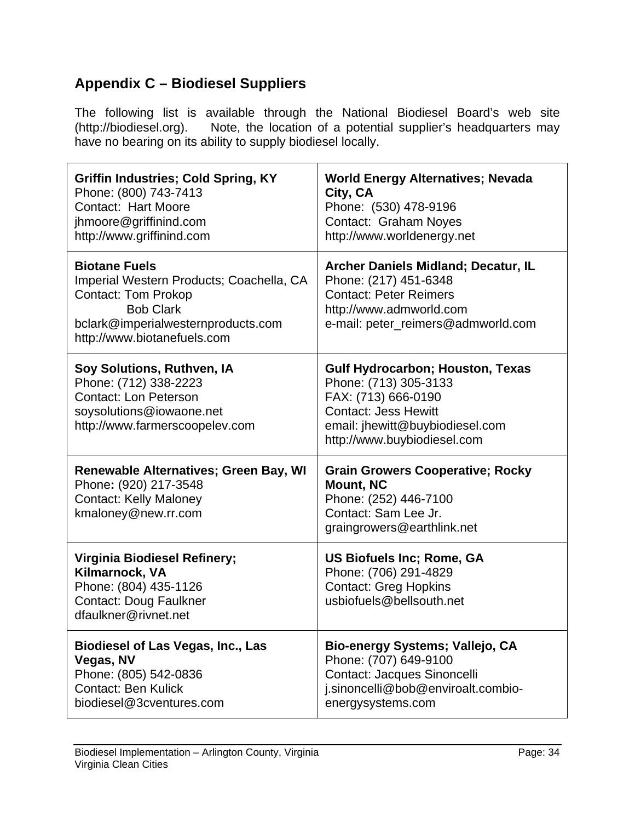# **Appendix C – Biodiesel Suppliers**

The following list is available through the National Biodiesel Board's web site (http://biodiesel.org). Note, the location of a potential supplier's headquarters may have no bearing on its ability to supply biodiesel locally.

| <b>Griffin Industries; Cold Spring, KY</b><br>Phone: (800) 743-7413<br><b>Contact: Hart Moore</b><br>jhmoore@griffinind.com<br>http://www.griffinind.com                                | <b>World Energy Alternatives; Nevada</b><br>City, CA<br>Phone: (530) 478-9196<br>Contact: Graham Noyes<br>http://www.worldenergy.net                                              |
|-----------------------------------------------------------------------------------------------------------------------------------------------------------------------------------------|-----------------------------------------------------------------------------------------------------------------------------------------------------------------------------------|
| <b>Biotane Fuels</b><br>Imperial Western Products; Coachella, CA<br><b>Contact: Tom Prokop</b><br><b>Bob Clark</b><br>bclark@imperialwesternproducts.com<br>http://www.biotanefuels.com | Archer Daniels Midland; Decatur, IL<br>Phone: (217) 451-6348<br><b>Contact: Peter Reimers</b><br>http://www.admworld.com<br>e-mail: peter_reimers@admworld.com                    |
| Soy Solutions, Ruthven, IA<br>Phone: (712) 338-2223<br><b>Contact: Lon Peterson</b><br>soysolutions@iowaone.net<br>http://www.farmerscoopelev.com                                       | Gulf Hydrocarbon; Houston, Texas<br>Phone: (713) 305-3133<br>FAX: (713) 666-0190<br><b>Contact: Jess Hewitt</b><br>email: jhewitt@buybiodiesel.com<br>http://www.buybiodiesel.com |
| Renewable Alternatives; Green Bay, WI<br>Phone: (920) 217-3548<br><b>Contact: Kelly Maloney</b><br>kmaloney@new.rr.com                                                                  | <b>Grain Growers Cooperative; Rocky</b><br><b>Mount, NC</b><br>Phone: (252) 446-7100<br>Contact: Sam Lee Jr.<br>graingrowers@earthlink.net                                        |
| Virginia Biodiesel Refinery;<br>Kilmarnock, VA<br>Phone: (804) 435-1126<br><b>Contact: Doug Faulkner</b><br>dfaulkner@rivnet.net                                                        | US Biofuels Inc; Rome, GA<br>Phone: (706) 291-4829<br><b>Contact: Greg Hopkins</b><br>usbiofuels@bellsouth.net                                                                    |
| <b>Biodiesel of Las Vegas, Inc., Las</b><br>Vegas, NV<br>Phone: (805) 542-0836<br><b>Contact: Ben Kulick</b><br>biodiesel@3cventures.com                                                | Bio-energy Systems; Vallejo, CA<br>Phone: (707) 649-9100<br>Contact: Jacques Sinoncelli<br>j.sinoncelli@bob@enviroalt.combio-<br>energysystems.com                                |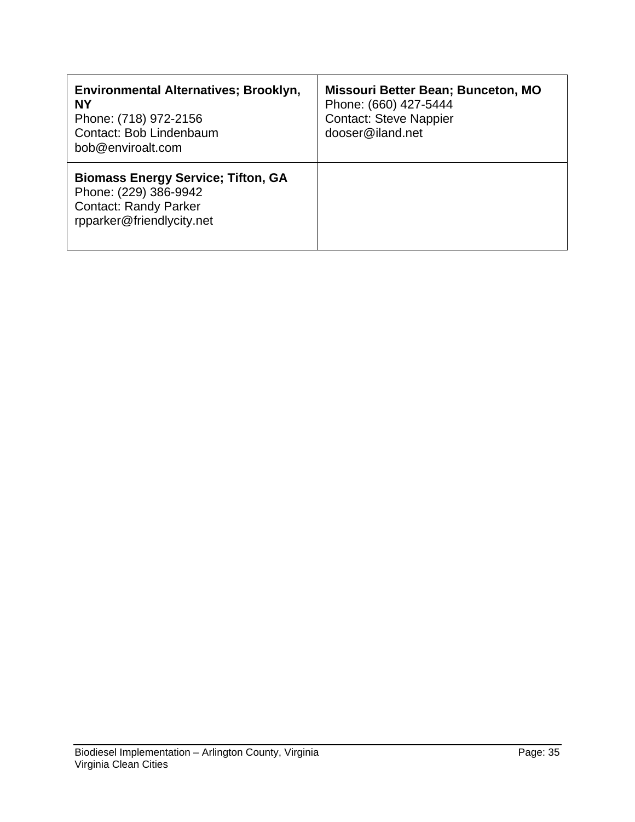| Environmental Alternatives; Brooklyn,<br><b>NY</b><br>Phone: (718) 972-2156<br>Contact: Bob Lindenbaum<br>bob@enviroalt.com     | Missouri Better Bean; Bunceton, MO<br>Phone: (660) 427-5444<br><b>Contact: Steve Nappier</b><br>dooser@iland.net |
|---------------------------------------------------------------------------------------------------------------------------------|------------------------------------------------------------------------------------------------------------------|
| <b>Biomass Energy Service; Tifton, GA</b><br>Phone: (229) 386-9942<br><b>Contact: Randy Parker</b><br>rpparker@friendlycity.net |                                                                                                                  |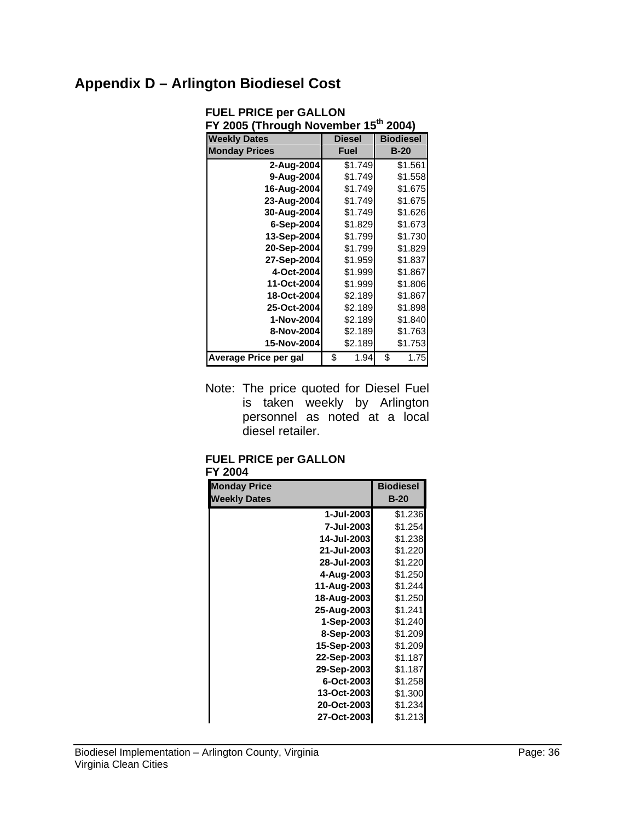# **Appendix D – Arlington Biodiesel Cost**

| FY 2005 (Through November 15th 2004) |    |               |    |                  |  |
|--------------------------------------|----|---------------|----|------------------|--|
| <b>Weekly Dates</b>                  |    | <b>Diesel</b> |    | <b>Biodiesel</b> |  |
| <b>Monday Prices</b>                 |    | <b>Fuel</b>   |    | $B-20$           |  |
| 2-Aug-2004                           |    | \$1.749       |    | \$1.561          |  |
| 9-Aug-2004                           |    | \$1.749       |    | \$1.558          |  |
| 16-Aug-2004                          |    | \$1.749       |    | \$1.675          |  |
| 23-Aug-2004                          |    | \$1.749       |    | \$1.675          |  |
| 30-Aug-2004                          |    | \$1.749       |    | \$1.626          |  |
| 6-Sep-2004                           |    | \$1.829       |    | \$1.673          |  |
| 13-Sep-2004                          |    | \$1.799       |    | \$1.730          |  |
| 20-Sep-2004                          |    | \$1.799       |    | \$1.829          |  |
| 27-Sep-2004                          |    | \$1.959       |    | \$1.837          |  |
| 4-Oct-2004                           |    | \$1.999       |    | \$1.867          |  |
| 11-Oct-2004                          |    | \$1.999       |    | \$1.806          |  |
| 18-Oct-2004                          |    | \$2.189       |    | \$1.867          |  |
| 25-Oct-2004                          |    | \$2.189       |    | \$1.898          |  |
| 1-Nov-2004                           |    | \$2.189       |    | \$1.840          |  |
| 8-Nov-2004                           |    | \$2.189       |    | \$1.763          |  |
| 15-Nov-2004                          |    | \$2.189       |    | \$1.753          |  |
| Average Price per gal                | \$ | 1.94          | \$ | 1.75             |  |

**FUEL PRICE per GALLON** 

Note: The price quoted for Diesel Fuel is taken weekly by Arlington personnel as noted at a local diesel retailer.

#### **FUEL PRICE per GALLON FY 2004**

| <b>Monday Price</b> |             | <b>Biodiesel</b> |
|---------------------|-------------|------------------|
| <b>Weekly Dates</b> |             | $B-20$           |
|                     | 1-Jul-2003  | \$1.236          |
|                     | 7-Jul-2003  | \$1.254          |
|                     | 14-Jul-2003 | \$1.238          |
|                     | 21-Jul-2003 | \$1.220          |
|                     | 28-Jul-2003 | \$1.220          |
|                     | 4-Aug-2003  | \$1.250          |
|                     | 11-Aug-2003 | \$1.244          |
|                     | 18-Aug-2003 | \$1.250          |
|                     | 25-Aug-2003 | \$1.241          |
|                     | 1-Sep-2003  | \$1.240          |
|                     | 8-Sep-2003  | \$1.209          |
|                     | 15-Sep-2003 | \$1.209          |
|                     | 22-Sep-2003 | \$1.187          |
|                     | 29-Sep-2003 | \$1.187          |
|                     | 6-Oct-2003  | \$1.258          |
|                     | 13-Oct-2003 | \$1.300          |
|                     | 20-Oct-2003 | \$1.234          |
|                     | 27-Oct-2003 | \$1.213          |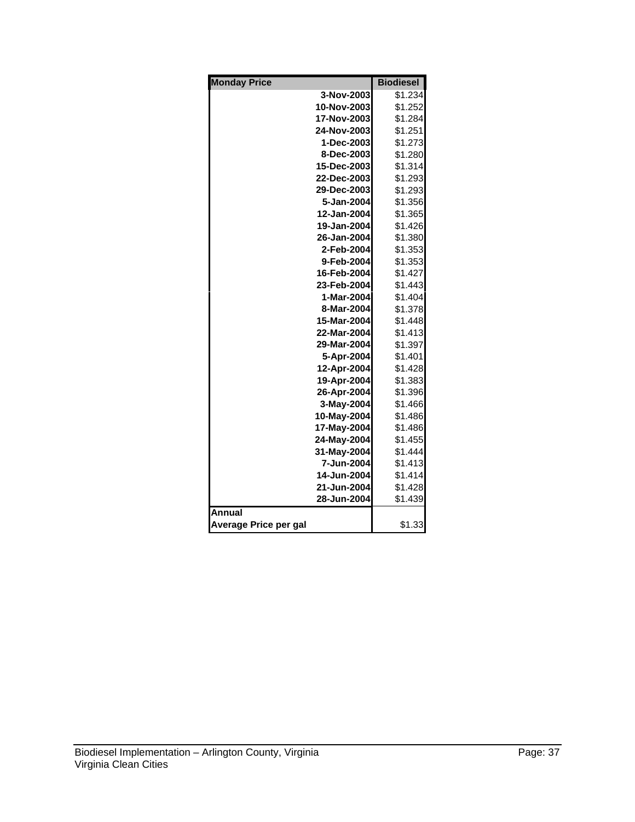| <b>Monday Price</b>   |             | <b>Biodiesel</b> |
|-----------------------|-------------|------------------|
|                       | 3-Nov-2003  | \$1.234          |
|                       | 10-Nov-2003 | \$1.252          |
|                       | 17-Nov-2003 | \$1.284          |
|                       | 24-Nov-2003 | \$1.251          |
|                       | 1-Dec-2003  | \$1.273          |
|                       | 8-Dec-2003  | \$1.280          |
|                       | 15-Dec-2003 | \$1.314          |
|                       | 22-Dec-2003 | \$1.293          |
|                       | 29-Dec-2003 | \$1.293          |
|                       | 5-Jan-2004  | \$1.356          |
|                       | 12-Jan-2004 | \$1.365          |
|                       | 19-Jan-2004 | \$1.426          |
|                       | 26-Jan-2004 | \$1.380          |
|                       | 2-Feb-2004  | \$1.353          |
|                       | 9-Feb-2004  | \$1.353          |
|                       | 16-Feb-2004 | \$1.427          |
|                       | 23-Feb-2004 | \$1.443          |
|                       | 1-Mar-2004  | \$1.404          |
|                       | 8-Mar-2004  | \$1.378          |
|                       | 15-Mar-2004 | \$1.448          |
|                       | 22-Mar-2004 | \$1.413          |
|                       | 29-Mar-2004 | \$1.397          |
|                       | 5-Apr-2004  | \$1.401          |
|                       | 12-Apr-2004 | \$1.428          |
|                       | 19-Apr-2004 | \$1.383          |
|                       | 26-Apr-2004 | \$1.396          |
|                       | 3-May-2004  | \$1.466          |
|                       | 10-May-2004 | \$1.486          |
|                       | 17-May-2004 | \$1.486          |
|                       | 24-May-2004 | \$1.455          |
|                       | 31-May-2004 | \$1.444          |
|                       | 7-Jun-2004  | \$1.413          |
|                       | 14-Jun-2004 | \$1.414          |
|                       | 21-Jun-2004 | \$1.428          |
|                       | 28-Jun-2004 | \$1.439          |
| <b>Annual</b>         |             |                  |
| Average Price per gal |             | \$1.33           |